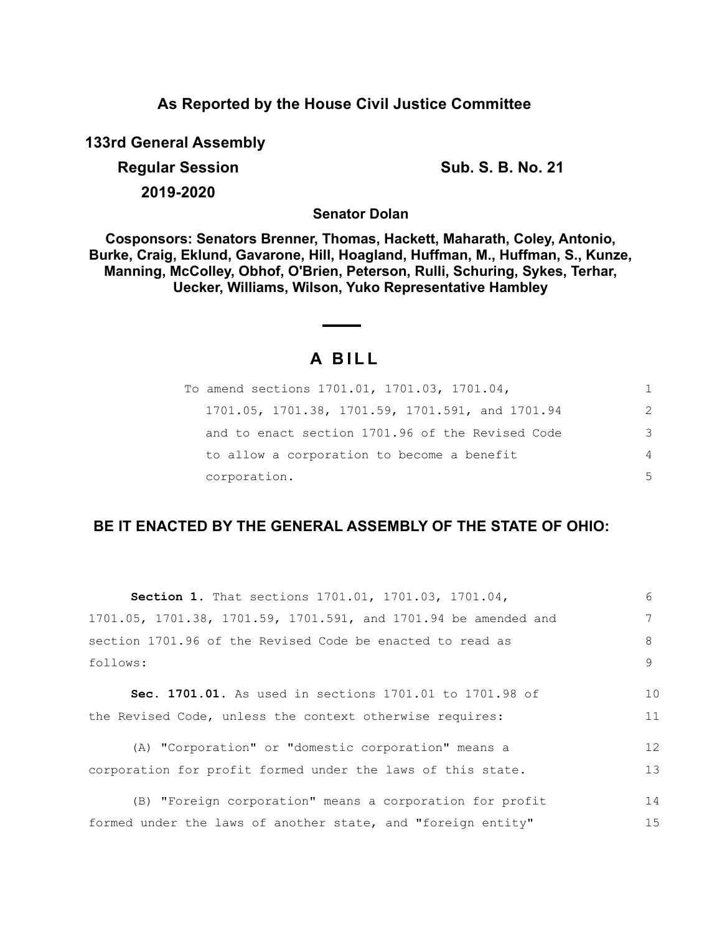## **As Reported by the House Civil Justice Committee**

**133rd General Assembly**

**Regular Session Sub. S. B. No. 21** 

**2019-2020**

**Senator Dolan**

**Cosponsors: Senators Brenner, Thomas, Hackett, Maharath, Coley, Antonio, Burke, Craig, Eklund, Gavarone, Hill, Hoagland, Huffman, M., Huffman, S., Kunze, Manning, McColley, Obhof, O'Brien, Peterson, Rulli, Schuring, Sykes, Terhar, Uecker, Williams, Wilson, Yuko Representative Hambley**

# **A B I L L**

| To amend sections 1701.01, 1701.03, 1701.04,     |               |
|--------------------------------------------------|---------------|
| 1701.05, 1701.38, 1701.59, 1701.591, and 1701.94 | $\mathcal{L}$ |
| and to enact section 1701.96 of the Revised Code | 3             |
| to allow a corporation to become a benefit       | 4             |
| corporation.                                     | 5             |

## **BE IT ENACTED BY THE GENERAL ASSEMBLY OF THE STATE OF OHIO:**

| <b>Section 1.</b> That sections 1701.01, 1701.03, 1701.04,      | 6  |
|-----------------------------------------------------------------|----|
| 1701.05, 1701.38, 1701.59, 1701.591, and 1701.94 be amended and | 7  |
| section 1701.96 of the Revised Code be enacted to read as       | 8  |
| follows:                                                        | 9  |
|                                                                 |    |
| Sec. 1701.01. As used in sections 1701.01 to 1701.98 of         | 10 |
| the Revised Code, unless the context otherwise requires:        | 11 |
| (A) "Corporation" or "domestic corporation" means a             | 12 |
| corporation for profit formed under the laws of this state.     | 13 |
| (B) "Foreign corporation" means a corporation for profit        | 14 |
|                                                                 |    |
| formed under the laws of another state, and "foreign entity"    | 15 |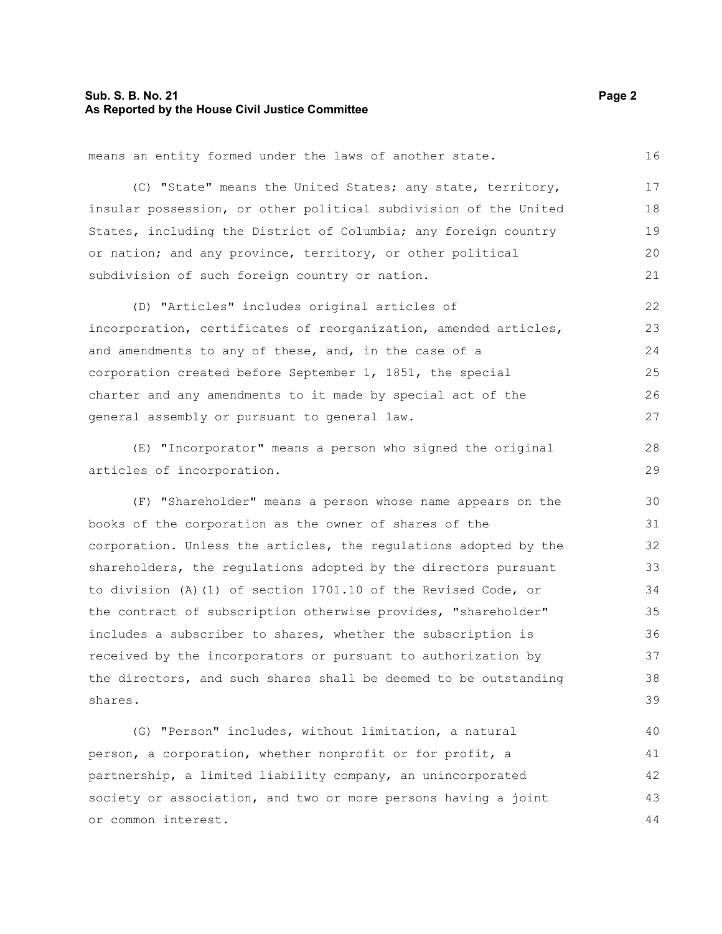#### **Sub. S. B. No. 21 Page 2 As Reported by the House Civil Justice Committee**

means an entity formed under the laws of another state.

(C) "State" means the United States; any state, territory, insular possession, or other political subdivision of the United States, including the District of Columbia; any foreign country or nation; and any province, territory, or other political subdivision of such foreign country or nation. 17 18 19 20 21

(D) "Articles" includes original articles of incorporation, certificates of reorganization, amended articles, and amendments to any of these, and, in the case of a corporation created before September 1, 1851, the special charter and any amendments to it made by special act of the general assembly or pursuant to general law. 22 23 24 25 26 27

(E) "Incorporator" means a person who signed the original articles of incorporation.

(F) "Shareholder" means a person whose name appears on the books of the corporation as the owner of shares of the corporation. Unless the articles, the regulations adopted by the shareholders, the regulations adopted by the directors pursuant to division (A)(1) of section 1701.10 of the Revised Code, or the contract of subscription otherwise provides, "shareholder" includes a subscriber to shares, whether the subscription is received by the incorporators or pursuant to authorization by the directors, and such shares shall be deemed to be outstanding shares. 30 31 32 33 34 35 36 37 38 39

(G) "Person" includes, without limitation, a natural person, a corporation, whether nonprofit or for profit, a partnership, a limited liability company, an unincorporated society or association, and two or more persons having a joint or common interest. 40 41 42 43 44

16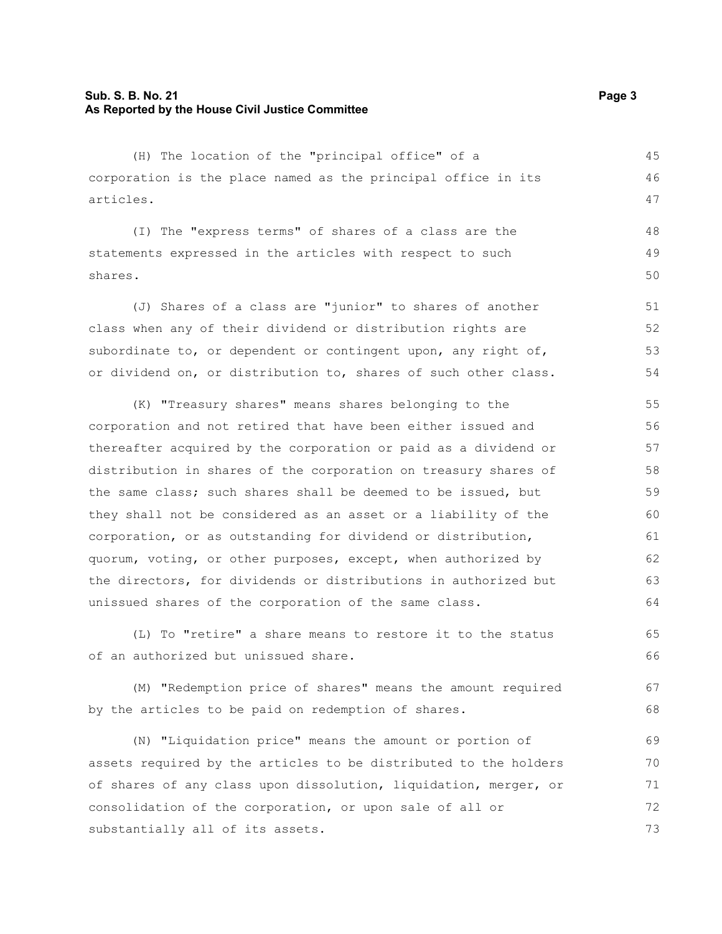#### **Sub. S. B. No. 21 Page 3 As Reported by the House Civil Justice Committee**

(H) The location of the "principal office" of a corporation is the place named as the principal office in its articles.

(I) The "express terms" of shares of a class are the statements expressed in the articles with respect to such shares. 48 49 50

(J) Shares of a class are "junior" to shares of another class when any of their dividend or distribution rights are subordinate to, or dependent or contingent upon, any right of, or dividend on, or distribution to, shares of such other class. 51 52 53 54

(K) "Treasury shares" means shares belonging to the corporation and not retired that have been either issued and thereafter acquired by the corporation or paid as a dividend or distribution in shares of the corporation on treasury shares of the same class; such shares shall be deemed to be issued, but they shall not be considered as an asset or a liability of the corporation, or as outstanding for dividend or distribution, quorum, voting, or other purposes, except, when authorized by the directors, for dividends or distributions in authorized but unissued shares of the corporation of the same class. 55 56 57 58 59 60 61 62 63 64

(L) To "retire" a share means to restore it to the status of an authorized but unissued share. 65 66

(M) "Redemption price of shares" means the amount required by the articles to be paid on redemption of shares. 67 68

(N) "Liquidation price" means the amount or portion of assets required by the articles to be distributed to the holders of shares of any class upon dissolution, liquidation, merger, or consolidation of the corporation, or upon sale of all or substantially all of its assets. 69 70 71 72 73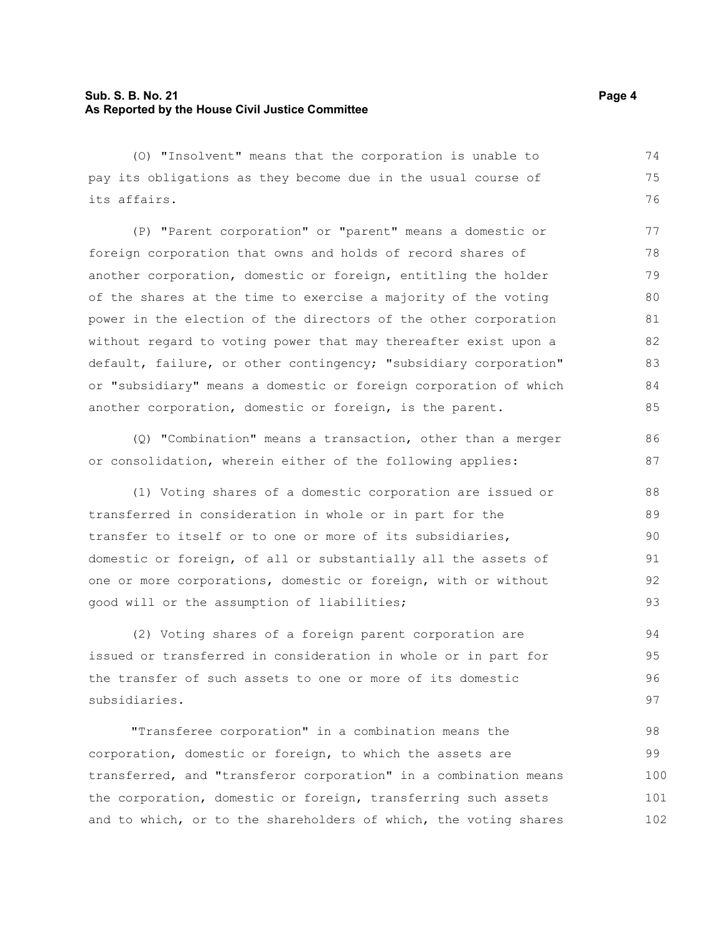#### **Sub. S. B. No. 21 Page 4 As Reported by the House Civil Justice Committee**

(O) "Insolvent" means that the corporation is unable to pay its obligations as they become due in the usual course of its affairs. 74 75 76

(P) "Parent corporation" or "parent" means a domestic or foreign corporation that owns and holds of record shares of another corporation, domestic or foreign, entitling the holder of the shares at the time to exercise a majority of the voting power in the election of the directors of the other corporation without regard to voting power that may thereafter exist upon a default, failure, or other contingency; "subsidiary corporation" or "subsidiary" means a domestic or foreign corporation of which another corporation, domestic or foreign, is the parent. 77 78 79 80 81 82 83 84 85

(Q) "Combination" means a transaction, other than a merger or consolidation, wherein either of the following applies:

(1) Voting shares of a domestic corporation are issued or transferred in consideration in whole or in part for the transfer to itself or to one or more of its subsidiaries, domestic or foreign, of all or substantially all the assets of one or more corporations, domestic or foreign, with or without good will or the assumption of liabilities; 91

(2) Voting shares of a foreign parent corporation are issued or transferred in consideration in whole or in part for the transfer of such assets to one or more of its domestic subsidiaries. 95

"Transferee corporation" in a combination means the corporation, domestic or foreign, to which the assets are transferred, and "transferor corporation" in a combination means the corporation, domestic or foreign, transferring such assets and to which, or to the shareholders of which, the voting shares 98 99 100 101 102

86 87

88 89 90

92 93

94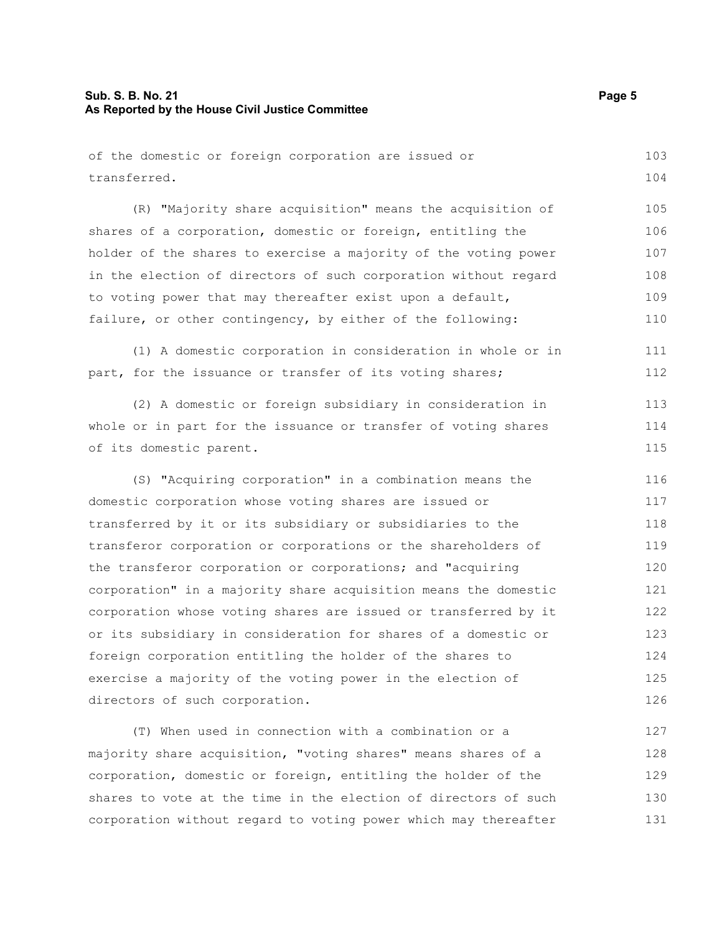## **Sub. S. B. No. 21 Page 5 As Reported by the House Civil Justice Committee**

| of the domestic or foreign corporation are issued or            | 103 |
|-----------------------------------------------------------------|-----|
| transferred.                                                    | 104 |
|                                                                 |     |
| (R) "Majority share acquisition" means the acquisition of       | 105 |
| shares of a corporation, domestic or foreign, entitling the     | 106 |
| holder of the shares to exercise a majority of the voting power | 107 |
| in the election of directors of such corporation without regard | 108 |
| to voting power that may thereafter exist upon a default,       | 109 |
| failure, or other contingency, by either of the following:      | 110 |
| (1) A domestic corporation in consideration in whole or in      | 111 |
| part, for the issuance or transfer of its voting shares;        | 112 |
| (2) A domestic or foreign subsidiary in consideration in        | 113 |
| whole or in part for the issuance or transfer of voting shares  | 114 |
| of its domestic parent.                                         | 115 |
| (S) "Acquiring corporation" in a combination means the          | 116 |
| domestic corporation whose voting shares are issued or          | 117 |
| transferred by it or its subsidiary or subsidiaries to the      | 118 |
| transferor corporation or corporations or the shareholders of   | 119 |
| the transferor corporation or corporations; and "acquiring      | 120 |
| corporation" in a majority share acquisition means the domestic | 121 |
| corporation whose voting shares are issued or transferred by it | 122 |
| or its subsidiary in consideration for shares of a domestic or  | 123 |
| foreign corporation entitling the holder of the shares to       | 124 |
| exercise a majority of the voting power in the election of      | 125 |
| directors of such corporation.                                  | 126 |
| (T) When used in connection with a combination or a             | 127 |
| majority share acquisition, "voting shares" means shares of a   | 128 |
| corporation, domestic or foreign, entitling the holder of the   | 129 |
| shares to vote at the time in the election of directors of such | 130 |

corporation without regard to voting power which may thereafter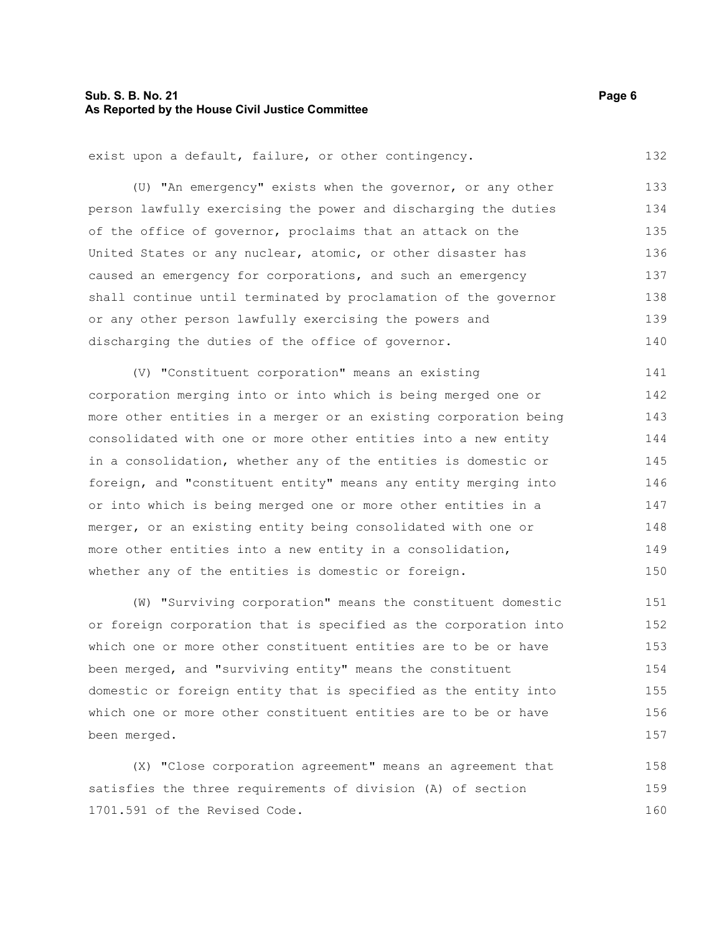#### **Sub. S. B. No. 21 Page 6 As Reported by the House Civil Justice Committee**

exist upon a default, failure, or other contingency. 132

(U) "An emergency" exists when the governor, or any other person lawfully exercising the power and discharging the duties of the office of governor, proclaims that an attack on the United States or any nuclear, atomic, or other disaster has caused an emergency for corporations, and such an emergency shall continue until terminated by proclamation of the governor or any other person lawfully exercising the powers and discharging the duties of the office of governor. 133 134 135 136 137 138 139 140

(V) "Constituent corporation" means an existing corporation merging into or into which is being merged one or more other entities in a merger or an existing corporation being consolidated with one or more other entities into a new entity in a consolidation, whether any of the entities is domestic or foreign, and "constituent entity" means any entity merging into or into which is being merged one or more other entities in a merger, or an existing entity being consolidated with one or more other entities into a new entity in a consolidation, whether any of the entities is domestic or foreign. 141 142 143 144 145 146 147 148 149 150

(W) "Surviving corporation" means the constituent domestic or foreign corporation that is specified as the corporation into which one or more other constituent entities are to be or have been merged, and "surviving entity" means the constituent domestic or foreign entity that is specified as the entity into which one or more other constituent entities are to be or have been merged. 151 152 153 154 155 156 157

(X) "Close corporation agreement" means an agreement that satisfies the three requirements of division (A) of section 1701.591 of the Revised Code. 158 159 160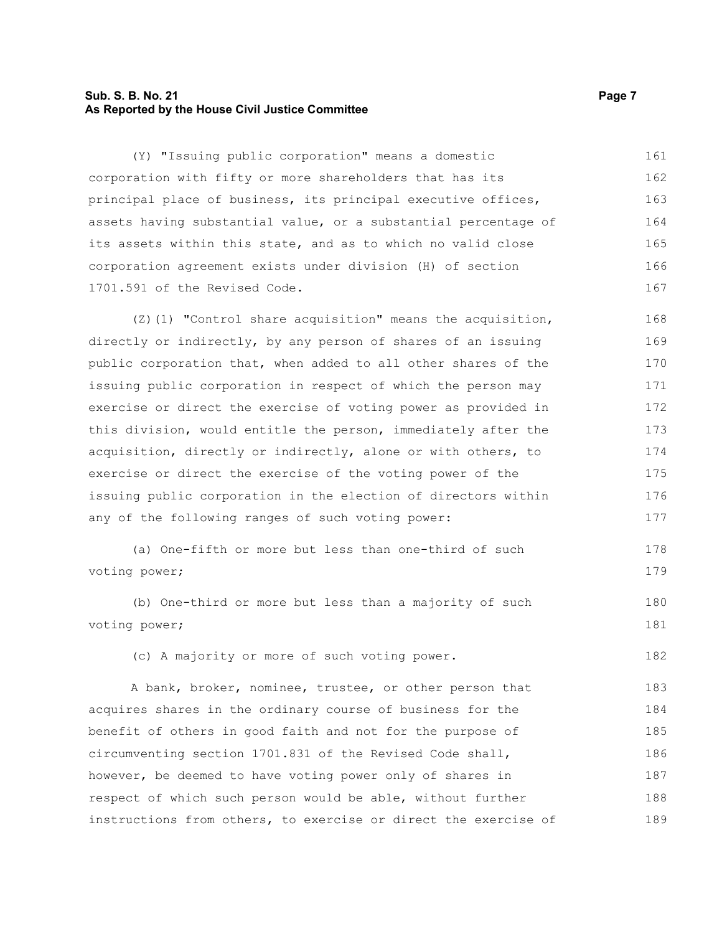#### **Sub. S. B. No. 21 Page 7 As Reported by the House Civil Justice Committee**

(Y) "Issuing public corporation" means a domestic corporation with fifty or more shareholders that has its principal place of business, its principal executive offices, assets having substantial value, or a substantial percentage of its assets within this state, and as to which no valid close corporation agreement exists under division (H) of section 1701.591 of the Revised Code. 161 162 163 164 165 166 167

 $(2)(1)$  "Control share acquisition" means the acquisition, directly or indirectly, by any person of shares of an issuing public corporation that, when added to all other shares of the issuing public corporation in respect of which the person may exercise or direct the exercise of voting power as provided in this division, would entitle the person, immediately after the acquisition, directly or indirectly, alone or with others, to exercise or direct the exercise of the voting power of the issuing public corporation in the election of directors within any of the following ranges of such voting power: 168 169 170 171 172 173 174 175 176 177

```
(a) One-fifth or more but less than one-third of such
voting power;
                                                                            178
                                                                            179
```
(b) One-third or more but less than a majority of such voting power;

(c) A majority or more of such voting power.

A bank, broker, nominee, trustee, or other person that acquires shares in the ordinary course of business for the benefit of others in good faith and not for the purpose of circumventing section 1701.831 of the Revised Code shall, however, be deemed to have voting power only of shares in respect of which such person would be able, without further instructions from others, to exercise or direct the exercise of 183 184 185 186 187 188 189

180 181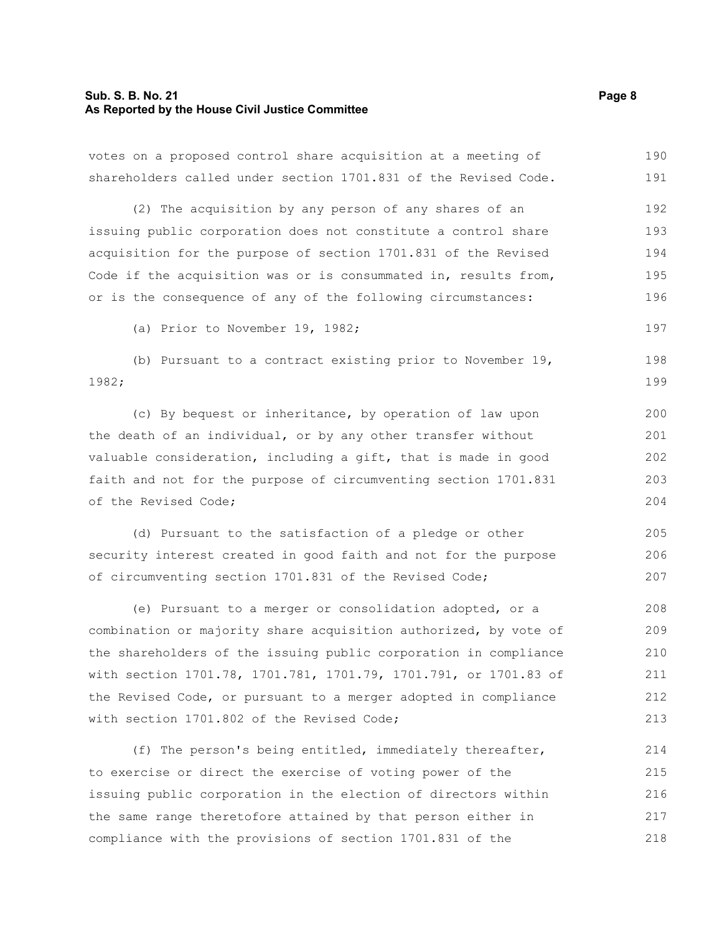#### **Sub. S. B. No. 21 Page 8 As Reported by the House Civil Justice Committee**

votes on a proposed control share acquisition at a meeting of shareholders called under section 1701.831 of the Revised Code. 190 191

(2) The acquisition by any person of any shares of an issuing public corporation does not constitute a control share acquisition for the purpose of section 1701.831 of the Revised Code if the acquisition was or is consummated in, results from, or is the consequence of any of the following circumstances: 192 193 194 195 196

(a) Prior to November 19, 1982;

(b) Pursuant to a contract existing prior to November 19, 1982; 198 199

(c) By bequest or inheritance, by operation of law upon the death of an individual, or by any other transfer without valuable consideration, including a gift, that is made in good faith and not for the purpose of circumventing section 1701.831 of the Revised Code; 200 201 202 203 204

(d) Pursuant to the satisfaction of a pledge or other security interest created in good faith and not for the purpose of circumventing section 1701.831 of the Revised Code;

(e) Pursuant to a merger or consolidation adopted, or a combination or majority share acquisition authorized, by vote of the shareholders of the issuing public corporation in compliance with section 1701.78, 1701.781, 1701.79, 1701.791, or 1701.83 of the Revised Code, or pursuant to a merger adopted in compliance with section 1701.802 of the Revised Code; 208 209 210 211 212 213

(f) The person's being entitled, immediately thereafter, to exercise or direct the exercise of voting power of the issuing public corporation in the election of directors within the same range theretofore attained by that person either in compliance with the provisions of section 1701.831 of the 214 215 216 217 218

197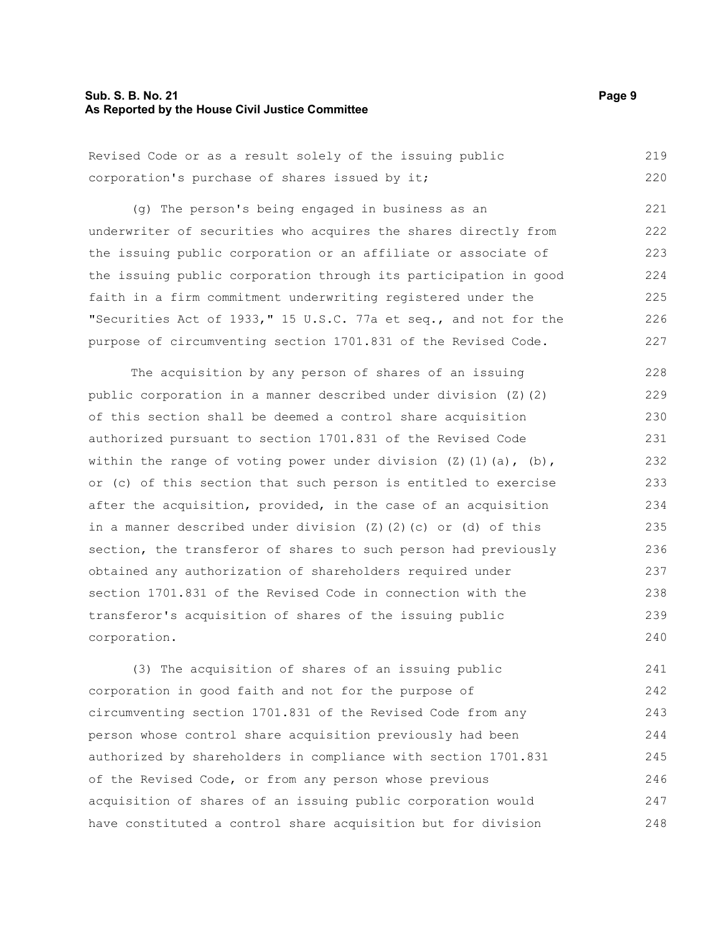#### **Sub. S. B. No. 21 Page 9 As Reported by the House Civil Justice Committee**

| Revised Code or as a result solely of the issuing public |  |  |  |  |  |  | 219 |
|----------------------------------------------------------|--|--|--|--|--|--|-----|
| corporation's purchase of shares issued by it;           |  |  |  |  |  |  | 220 |

(g) The person's being engaged in business as an underwriter of securities who acquires the shares directly from the issuing public corporation or an affiliate or associate of the issuing public corporation through its participation in good faith in a firm commitment underwriting registered under the "Securities Act of 1933," 15 U.S.C. 77a et seq., and not for the purpose of circumventing section 1701.831 of the Revised Code. 221 222 223 224 225 226 227

The acquisition by any person of shares of an issuing public corporation in a manner described under division (Z)(2) of this section shall be deemed a control share acquisition authorized pursuant to section 1701.831 of the Revised Code within the range of voting power under division  $(Z)$  (1)(a), (b), or (c) of this section that such person is entitled to exercise after the acquisition, provided, in the case of an acquisition in a manner described under division (Z)(2)(c) or (d) of this section, the transferor of shares to such person had previously obtained any authorization of shareholders required under section 1701.831 of the Revised Code in connection with the transferor's acquisition of shares of the issuing public corporation. 228 229 230 231 232 233 234 235 236 237 238 239 240

(3) The acquisition of shares of an issuing public corporation in good faith and not for the purpose of circumventing section 1701.831 of the Revised Code from any person whose control share acquisition previously had been authorized by shareholders in compliance with section 1701.831 of the Revised Code, or from any person whose previous acquisition of shares of an issuing public corporation would have constituted a control share acquisition but for division 241 242 243 244 245 246 247 248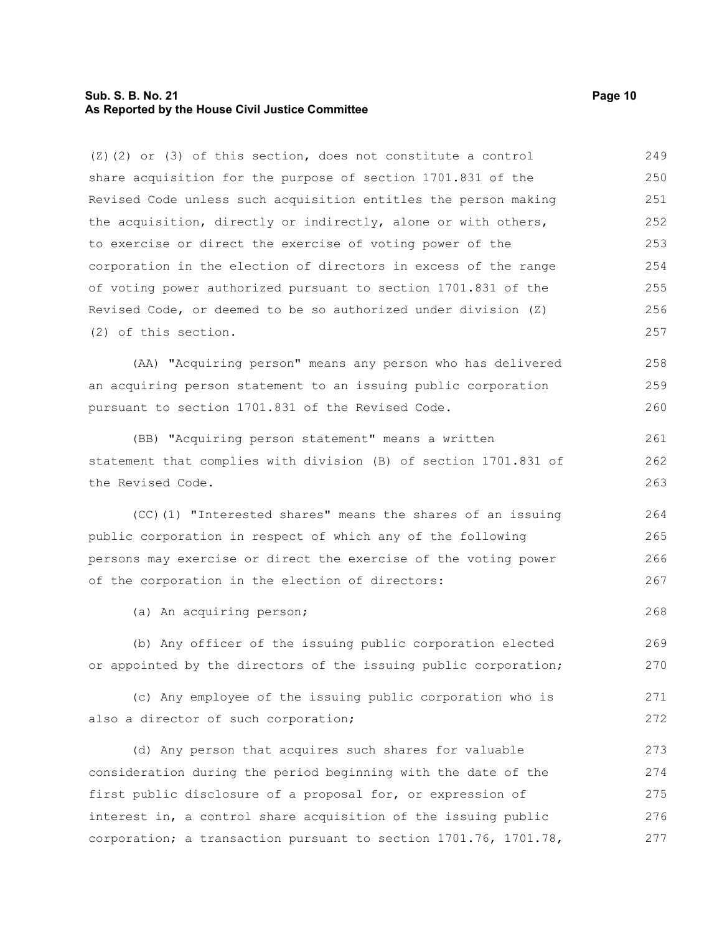#### **Sub. S. B. No. 21 Page 10 As Reported by the House Civil Justice Committee**

(Z)(2) or (3) of this section, does not constitute a control share acquisition for the purpose of section 1701.831 of the Revised Code unless such acquisition entitles the person making the acquisition, directly or indirectly, alone or with others, to exercise or direct the exercise of voting power of the corporation in the election of directors in excess of the range of voting power authorized pursuant to section 1701.831 of the Revised Code, or deemed to be so authorized under division (Z) (2) of this section. 249 250 251 252 253 254 255 256 257

(AA) "Acquiring person" means any person who has delivered an acquiring person statement to an issuing public corporation pursuant to section 1701.831 of the Revised Code. 258 259 260

(BB) "Acquiring person statement" means a written statement that complies with division (B) of section 1701.831 of the Revised Code.

(CC)(1) "Interested shares" means the shares of an issuing public corporation in respect of which any of the following persons may exercise or direct the exercise of the voting power of the corporation in the election of directors:

(a) An acquiring person;

(b) Any officer of the issuing public corporation elected or appointed by the directors of the issuing public corporation; 269 270

(c) Any employee of the issuing public corporation who is also a director of such corporation; 271 272

(d) Any person that acquires such shares for valuable consideration during the period beginning with the date of the first public disclosure of a proposal for, or expression of interest in, a control share acquisition of the issuing public corporation; a transaction pursuant to section 1701.76, 1701.78, 273 274 275 276 277

261 262 263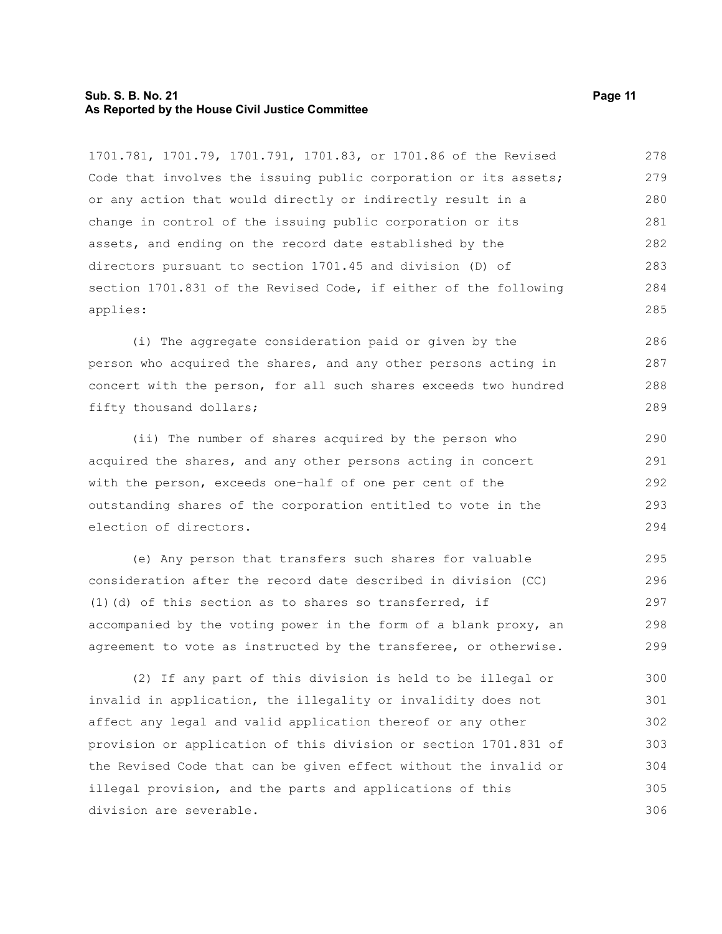#### **Sub. S. B. No. 21 Page 11 As Reported by the House Civil Justice Committee**

1701.781, 1701.79, 1701.791, 1701.83, or 1701.86 of the Revised Code that involves the issuing public corporation or its assets; or any action that would directly or indirectly result in a change in control of the issuing public corporation or its assets, and ending on the record date established by the directors pursuant to section 1701.45 and division (D) of section 1701.831 of the Revised Code, if either of the following applies: 278 279 280 281 282 283 284 285

(i) The aggregate consideration paid or given by the person who acquired the shares, and any other persons acting in concert with the person, for all such shares exceeds two hundred fifty thousand dollars;

(ii) The number of shares acquired by the person who acquired the shares, and any other persons acting in concert with the person, exceeds one-half of one per cent of the outstanding shares of the corporation entitled to vote in the election of directors.

(e) Any person that transfers such shares for valuable consideration after the record date described in division (CC) (1)(d) of this section as to shares so transferred, if accompanied by the voting power in the form of a blank proxy, an agreement to vote as instructed by the transferee, or otherwise. 295 296 297 298 299

(2) If any part of this division is held to be illegal or invalid in application, the illegality or invalidity does not affect any legal and valid application thereof or any other provision or application of this division or section 1701.831 of the Revised Code that can be given effect without the invalid or illegal provision, and the parts and applications of this division are severable. 300 301 302 303 304 305 306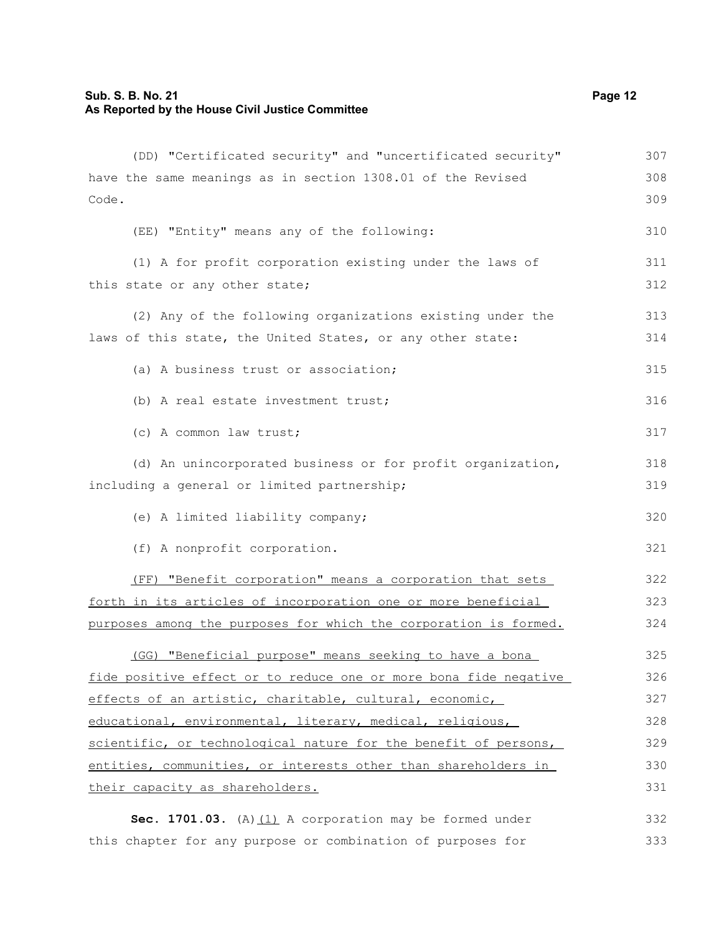| (DD) "Certificated security" and "uncertificated security"       | 307 |
|------------------------------------------------------------------|-----|
| have the same meanings as in section 1308.01 of the Revised      | 308 |
| Code.                                                            | 309 |
| (EE) "Entity" means any of the following:                        | 310 |
| (1) A for profit corporation existing under the laws of          | 311 |
| this state or any other state;                                   | 312 |
| (2) Any of the following organizations existing under the        | 313 |
| laws of this state, the United States, or any other state:       | 314 |
| (a) A business trust or association;                             | 315 |
| (b) A real estate investment trust;                              | 316 |
| (c) A common law trust;                                          | 317 |
| (d) An unincorporated business or for profit organization,       | 318 |
| including a general or limited partnership;                      | 319 |
| (e) A limited liability company;                                 | 320 |
| (f) A nonprofit corporation.                                     | 321 |
| (FF) "Benefit corporation" means a corporation that sets         | 322 |
| forth in its articles of incorporation one or more beneficial    | 323 |
| purposes among the purposes for which the corporation is formed. | 324 |
| (GG) "Beneficial purpose" means seeking to have a bona           | 325 |
| fide positive effect or to reduce one or more bona fide negative | 326 |
| effects of an artistic, charitable, cultural, economic,          | 327 |
| educational, environmental, literary, medical, religious,        | 328 |
| scientific, or technological nature for the benefit of persons,  | 329 |
| entities, communities, or interests other than shareholders in   | 330 |
| their capacity as shareholders.                                  | 331 |
| Sec. 1701.03. (A) $(1)$ A corporation may be formed under        | 332 |
| this chapter for any purpose or combination of purposes for      | 333 |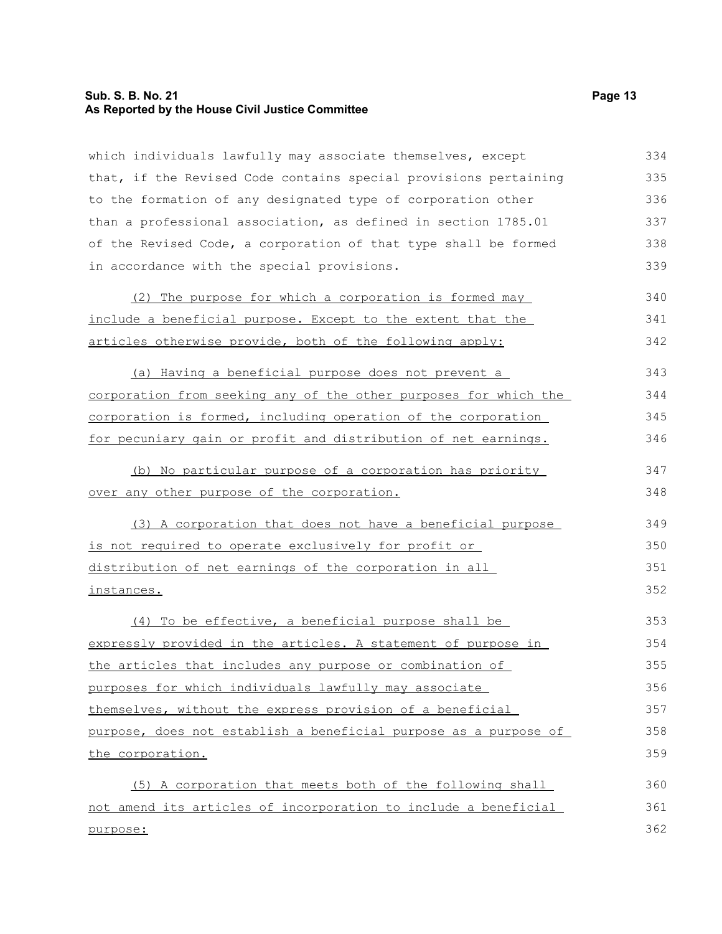#### **Sub. S. B. No. 21 Page 13 As Reported by the House Civil Justice Committee**

which individuals lawfully may associate themselves, except that, if the Revised Code contains special provisions pertaining to the formation of any designated type of corporation other than a professional association, as defined in section 1785.01 of the Revised Code, a corporation of that type shall be formed in accordance with the special provisions. 334 335 336 337 338 339

| (2) The purpose for which a corporation is formed may       | 340 |
|-------------------------------------------------------------|-----|
| include a beneficial purpose. Except to the extent that the | 341 |
| articles otherwise provide, both of the following apply:    | 342 |

(a) Having a beneficial purpose does not prevent a corporation from seeking any of the other purposes for which the corporation is formed, including operation of the corporation for pecuniary gain or profit and distribution of net earnings. 343 344 345 346

(b) No particular purpose of a corporation has priority over any other purpose of the corporation.

(3) A corporation that does not have a beneficial purpose is not required to operate exclusively for profit or distribution of net earnings of the corporation in all instances. 349 350 351 352

(4) To be effective, a beneficial purpose shall be expressly provided in the articles. A statement of purpose in the articles that includes any purpose or combination of purposes for which individuals lawfully may associate themselves, without the express provision of a beneficial purpose, does not establish a beneficial purpose as a purpose of the corporation. 353 354 355 356 357 358 359

(5) A corporation that meets both of the following shall not amend its articles of incorporation to include a beneficial purpose: 360 361 362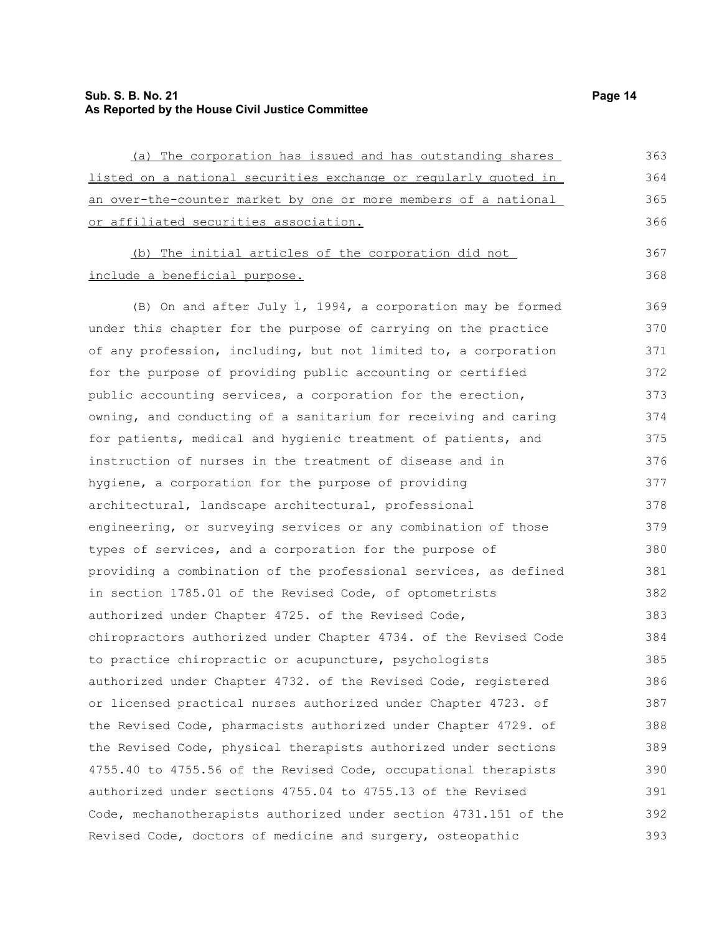## **Sub. S. B. No. 21 Page 14 As Reported by the House Civil Justice Committee**

| (a) The corporation has issued and has outstanding shares        | 363 |
|------------------------------------------------------------------|-----|
| listed on a national securities exchange or regularly quoted in  | 364 |
| an over-the-counter market by one or more members of a national  | 365 |
| or affiliated securities association.                            | 366 |
| (b) The initial articles of the corporation did not              | 367 |
| include a beneficial purpose.                                    | 368 |
| (B) On and after July 1, 1994, a corporation may be formed       | 369 |
| under this chapter for the purpose of carrying on the practice   | 370 |
| of any profession, including, but not limited to, a corporation  | 371 |
| for the purpose of providing public accounting or certified      | 372 |
| public accounting services, a corporation for the erection,      | 373 |
| owning, and conducting of a sanitarium for receiving and caring  | 374 |
| for patients, medical and hygienic treatment of patients, and    | 375 |
| instruction of nurses in the treatment of disease and in         | 376 |
| hygiene, a corporation for the purpose of providing              | 377 |
| architectural, landscape architectural, professional             | 378 |
| engineering, or surveying services or any combination of those   | 379 |
| types of services, and a corporation for the purpose of          | 380 |
| providing a combination of the professional services, as defined | 381 |
| in section 1785.01 of the Revised Code, of optometrists          | 382 |
| authorized under Chapter 4725. of the Revised Code,              | 383 |
| chiropractors authorized under Chapter 4734. of the Revised Code | 384 |
| to practice chiropractic or acupuncture, psychologists           | 385 |
| authorized under Chapter 4732. of the Revised Code, registered   | 386 |
| or licensed practical nurses authorized under Chapter 4723. of   | 387 |
| the Revised Code, pharmacists authorized under Chapter 4729. of  | 388 |
| the Revised Code, physical therapists authorized under sections  | 389 |
| 4755.40 to 4755.56 of the Revised Code, occupational therapists  | 390 |
| authorized under sections 4755.04 to 4755.13 of the Revised      | 391 |
| Code, mechanotherapists authorized under section 4731.151 of the | 392 |
| Revised Code, doctors of medicine and surgery, osteopathic       | 393 |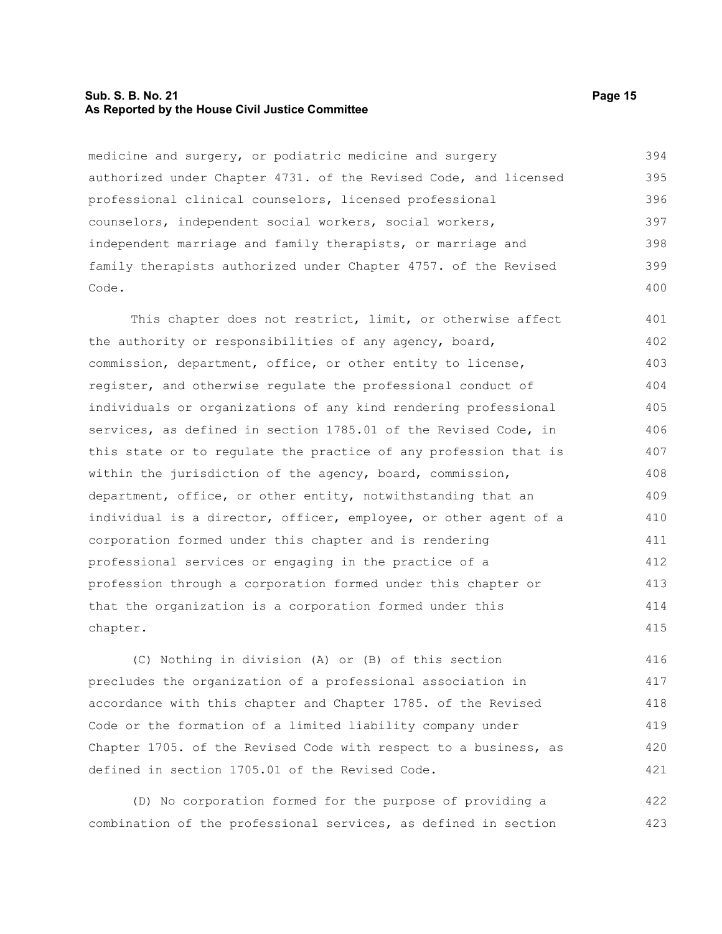#### **Sub. S. B. No. 21 Page 15 As Reported by the House Civil Justice Committee**

medicine and surgery, or podiatric medicine and surgery authorized under Chapter 4731. of the Revised Code, and licensed professional clinical counselors, licensed professional counselors, independent social workers, social workers, independent marriage and family therapists, or marriage and family therapists authorized under Chapter 4757. of the Revised Code. 394 395 396 397 398 399 400

This chapter does not restrict, limit, or otherwise affect the authority or responsibilities of any agency, board, commission, department, office, or other entity to license, register, and otherwise regulate the professional conduct of individuals or organizations of any kind rendering professional services, as defined in section 1785.01 of the Revised Code, in this state or to regulate the practice of any profession that is within the jurisdiction of the agency, board, commission, department, office, or other entity, notwithstanding that an individual is a director, officer, employee, or other agent of a corporation formed under this chapter and is rendering professional services or engaging in the practice of a profession through a corporation formed under this chapter or that the organization is a corporation formed under this chapter. 401 402 403 404 405 406 407 408 409 410 411 412 413 414 415

(C) Nothing in division (A) or (B) of this section precludes the organization of a professional association in accordance with this chapter and Chapter 1785. of the Revised Code or the formation of a limited liability company under Chapter 1705. of the Revised Code with respect to a business, as defined in section 1705.01 of the Revised Code. 416 417 418 419 420 421

(D) No corporation formed for the purpose of providing a combination of the professional services, as defined in section 422 423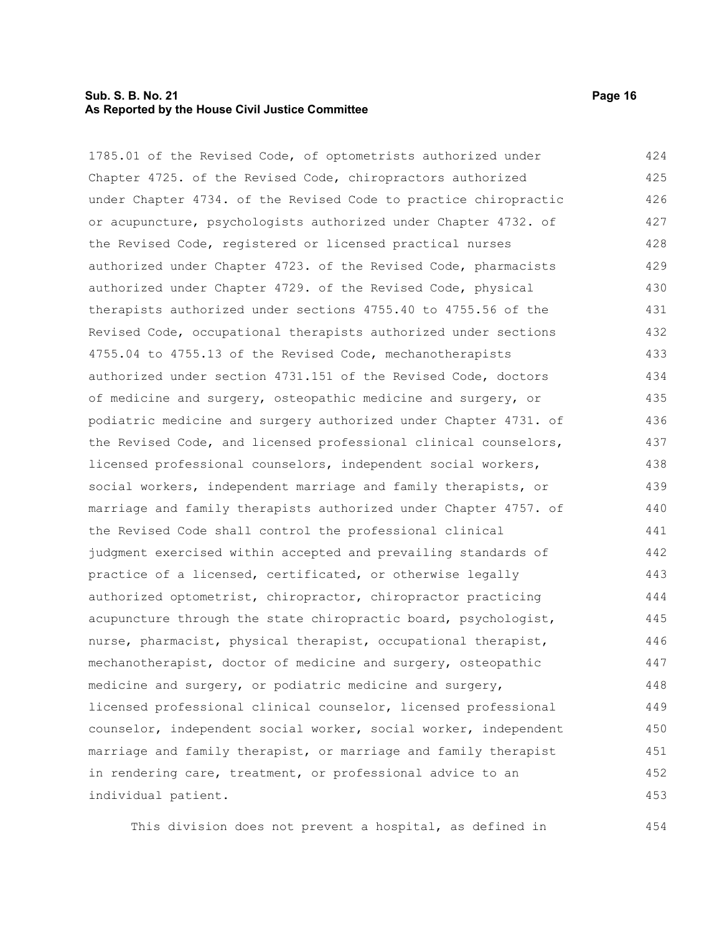#### **Sub. S. B. No. 21 Page 16 As Reported by the House Civil Justice Committee**

1785.01 of the Revised Code, of optometrists authorized under Chapter 4725. of the Revised Code, chiropractors authorized under Chapter 4734. of the Revised Code to practice chiropractic or acupuncture, psychologists authorized under Chapter 4732. of the Revised Code, registered or licensed practical nurses authorized under Chapter 4723. of the Revised Code, pharmacists authorized under Chapter 4729. of the Revised Code, physical

therapists authorized under sections 4755.40 to 4755.56 of the Revised Code, occupational therapists authorized under sections 4755.04 to 4755.13 of the Revised Code, mechanotherapists authorized under section 4731.151 of the Revised Code, doctors of medicine and surgery, osteopathic medicine and surgery, or podiatric medicine and surgery authorized under Chapter 4731. of the Revised Code, and licensed professional clinical counselors, licensed professional counselors, independent social workers, social workers, independent marriage and family therapists, or marriage and family therapists authorized under Chapter 4757. of the Revised Code shall control the professional clinical judgment exercised within accepted and prevailing standards of practice of a licensed, certificated, or otherwise legally authorized optometrist, chiropractor, chiropractor practicing acupuncture through the state chiropractic board, psychologist, nurse, pharmacist, physical therapist, occupational therapist, mechanotherapist, doctor of medicine and surgery, osteopathic medicine and surgery, or podiatric medicine and surgery, licensed professional clinical counselor, licensed professional counselor, independent social worker, social worker, independent marriage and family therapist, or marriage and family therapist in rendering care, treatment, or professional advice to an individual patient. 431 432 433 434 435 436 437 438 439 440 441 442 443 444 445 446 447 448 449 450 451 452 453

This division does not prevent a hospital, as defined in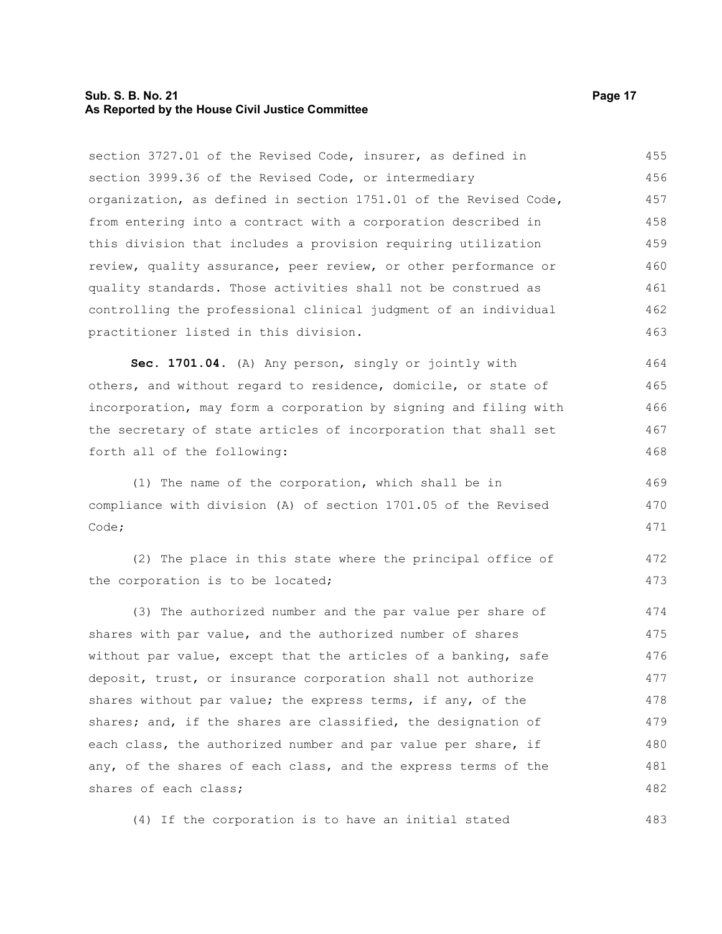#### **Sub. S. B. No. 21 Page 17 As Reported by the House Civil Justice Committee**

section 3727.01 of the Revised Code, insurer, as defined in section 3999.36 of the Revised Code, or intermediary organization, as defined in section 1751.01 of the Revised Code, from entering into a contract with a corporation described in this division that includes a provision requiring utilization review, quality assurance, peer review, or other performance or quality standards. Those activities shall not be construed as controlling the professional clinical judgment of an individual practitioner listed in this division. 455 456 457 458 459 460 461 462 463

**Sec. 1701.04.** (A) Any person, singly or jointly with others, and without regard to residence, domicile, or state of incorporation, may form a corporation by signing and filing with the secretary of state articles of incorporation that shall set forth all of the following: 464 465 466 467 468

(1) The name of the corporation, which shall be in compliance with division (A) of section 1701.05 of the Revised Code; 469 470 471

(2) The place in this state where the principal office of the corporation is to be located; 472 473

(3) The authorized number and the par value per share of shares with par value, and the authorized number of shares without par value, except that the articles of a banking, safe deposit, trust, or insurance corporation shall not authorize shares without par value; the express terms, if any, of the shares; and, if the shares are classified, the designation of each class, the authorized number and par value per share, if any, of the shares of each class, and the express terms of the shares of each class; 474 475 476 477 478 479 480 481 482

(4) If the corporation is to have an initial stated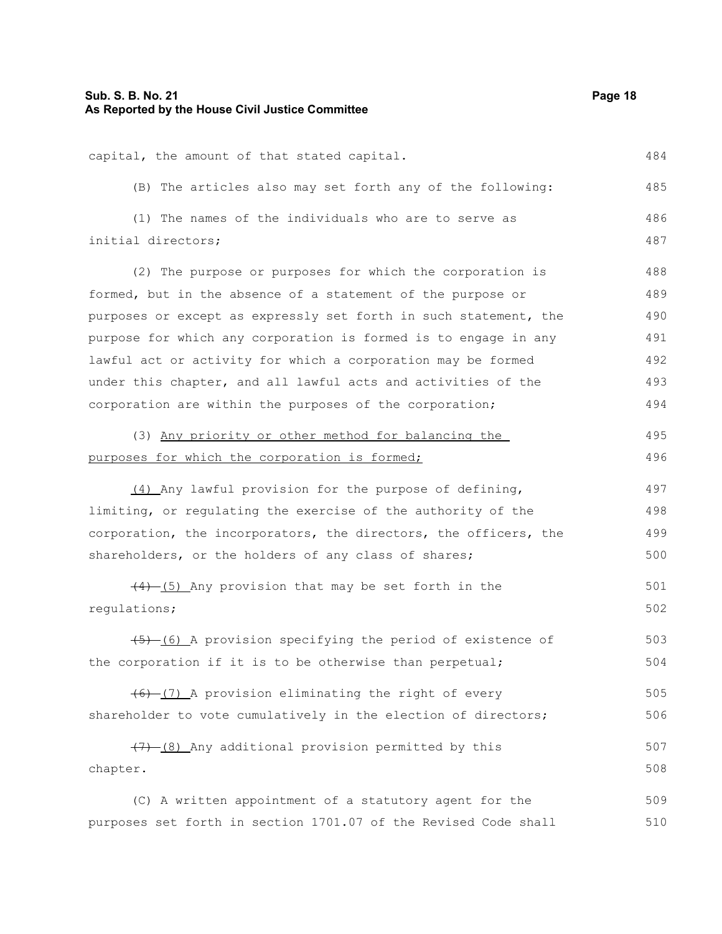| capital, the amount of that stated capital.<br>484<br>(B) The articles also may set forth any of the following: | 485 |
|-----------------------------------------------------------------------------------------------------------------|-----|
|                                                                                                                 |     |
|                                                                                                                 |     |
| (1) The names of the individuals who are to serve as<br>486                                                     |     |
| initial directors;<br>487                                                                                       |     |
| (2) The purpose or purposes for which the corporation is<br>488                                                 |     |
| formed, but in the absence of a statement of the purpose or<br>489                                              |     |
| purposes or except as expressly set forth in such statement, the<br>490                                         |     |
| purpose for which any corporation is formed is to engage in any<br>491                                          |     |
| lawful act or activity for which a corporation may be formed<br>492                                             |     |
| under this chapter, and all lawful acts and activities of the<br>493                                            |     |
| corporation are within the purposes of the corporation;<br>494                                                  |     |
| (3) Any priority or other method for balancing the<br>495                                                       |     |
| 496<br>purposes for which the corporation is formed;                                                            |     |
|                                                                                                                 |     |
| (4) Any lawful provision for the purpose of defining,<br>497                                                    |     |
| limiting, or regulating the exercise of the authority of the<br>498                                             |     |
| corporation, the incorporators, the directors, the officers, the<br>499                                         |     |
| shareholders, or the holders of any class of shares;<br>500                                                     |     |
| $\frac{(4)-(5)}{4}$ Any provision that may be set forth in the<br>501                                           |     |
| regulations;<br>502                                                                                             |     |
| 503<br>(6) A provision specifying the period of existence of                                                    |     |
| the corporation if it is to be otherwise than perpetual;<br>504                                                 |     |
|                                                                                                                 |     |
| $(6)$ (7) A provision eliminating the right of every<br>505                                                     |     |
| shareholder to vote cumulatively in the election of directors;<br>506                                           |     |
| $(7)$ (8) Any additional provision permitted by this<br>507                                                     |     |
| 508<br>chapter.                                                                                                 |     |
| (C) A written appointment of a statutory agent for the<br>509                                                   |     |

purposes set forth in section 1701.07 of the Revised Code shall 510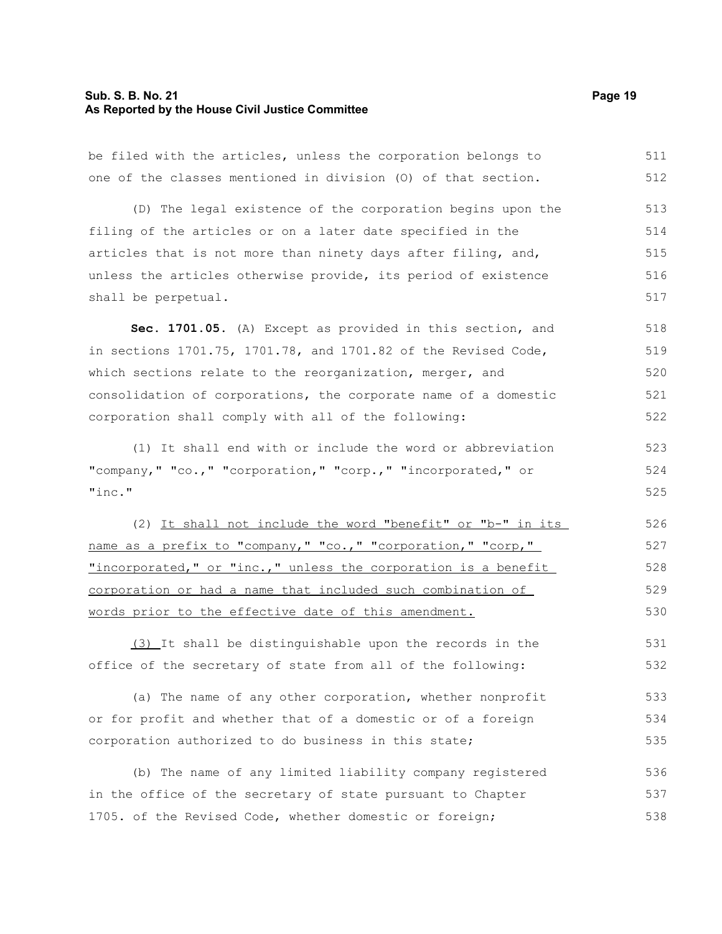#### **Sub. S. B. No. 21 Page 19 As Reported by the House Civil Justice Committee**

be filed with the articles, unless the corporation belongs to one of the classes mentioned in division (O) of that section. 511 512

(D) The legal existence of the corporation begins upon the filing of the articles or on a later date specified in the articles that is not more than ninety days after filing, and, unless the articles otherwise provide, its period of existence shall be perpetual. 513 514 515 516 517

**Sec. 1701.05.** (A) Except as provided in this section, and in sections 1701.75, 1701.78, and 1701.82 of the Revised Code, which sections relate to the reorganization, merger, and consolidation of corporations, the corporate name of a domestic corporation shall comply with all of the following: 518 519 520 521 522

(1) It shall end with or include the word or abbreviation "company," "co.," "corporation," "corp.," "incorporated," or "inc." 523 524 525

(2) It shall not include the word "benefit" or "b-" in its name as a prefix to "company," "co.," "corporation," "corp," "incorporated," or "inc.," unless the corporation is a benefit corporation or had a name that included such combination of words prior to the effective date of this amendment. 526 527 528 529 530

(3) It shall be distinguishable upon the records in the office of the secretary of state from all of the following: 531 532

(a) The name of any other corporation, whether nonprofit or for profit and whether that of a domestic or of a foreign corporation authorized to do business in this state; 533 534 535

(b) The name of any limited liability company registered in the office of the secretary of state pursuant to Chapter 1705. of the Revised Code, whether domestic or foreign; 536 537 538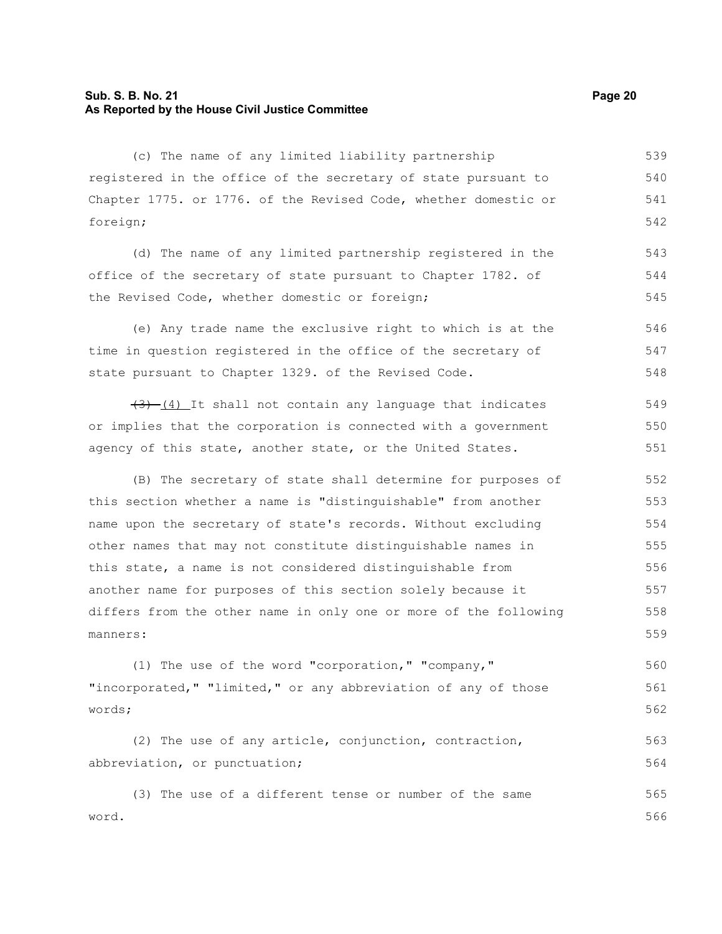#### **Sub. S. B. No. 21 Page 20 As Reported by the House Civil Justice Committee**

(c) The name of any limited liability partnership registered in the office of the secretary of state pursuant to Chapter 1775. or 1776. of the Revised Code, whether domestic or foreign; 539 540 541 542

(d) The name of any limited partnership registered in the office of the secretary of state pursuant to Chapter 1782. of the Revised Code, whether domestic or foreign; 543 544 545

(e) Any trade name the exclusive right to which is at the time in question registered in the office of the secretary of state pursuant to Chapter 1329. of the Revised Code. 546 547 548

 $(3)$  (4) It shall not contain any language that indicates or implies that the corporation is connected with a government agency of this state, another state, or the United States. 549 550 551

(B) The secretary of state shall determine for purposes of this section whether a name is "distinguishable" from another name upon the secretary of state's records. Without excluding other names that may not constitute distinguishable names in this state, a name is not considered distinguishable from another name for purposes of this section solely because it differs from the other name in only one or more of the following manners: 552 553 554 555 556 557 558 559

(1) The use of the word "corporation," "company," "incorporated," "limited," or any abbreviation of any of those words; 560 561 562

(2) The use of any article, conjunction, contraction, abbreviation, or punctuation; 563 564

(3) The use of a different tense or number of the same word. 565 566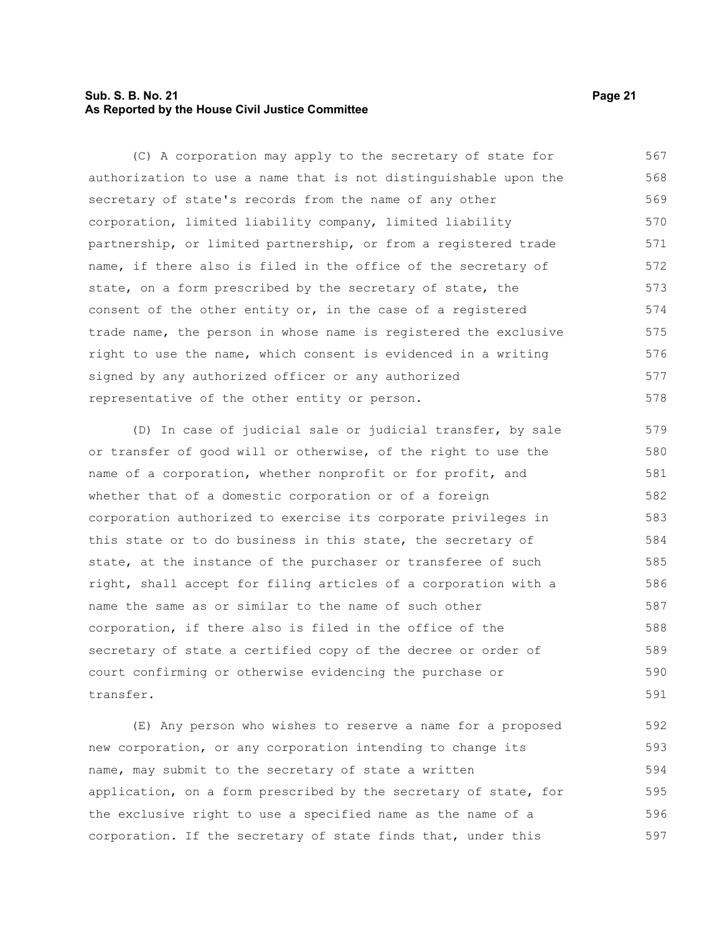#### **Sub. S. B. No. 21 Page 21 As Reported by the House Civil Justice Committee**

(C) A corporation may apply to the secretary of state for authorization to use a name that is not distinguishable upon the secretary of state's records from the name of any other corporation, limited liability company, limited liability partnership, or limited partnership, or from a registered trade name, if there also is filed in the office of the secretary of state, on a form prescribed by the secretary of state, the consent of the other entity or, in the case of a registered trade name, the person in whose name is registered the exclusive right to use the name, which consent is evidenced in a writing signed by any authorized officer or any authorized representative of the other entity or person. 567 568 569 570 571 572 573 574 575 576 577 578

(D) In case of judicial sale or judicial transfer, by sale or transfer of good will or otherwise, of the right to use the name of a corporation, whether nonprofit or for profit, and whether that of a domestic corporation or of a foreign corporation authorized to exercise its corporate privileges in this state or to do business in this state, the secretary of state, at the instance of the purchaser or transferee of such right, shall accept for filing articles of a corporation with a name the same as or similar to the name of such other corporation, if there also is filed in the office of the secretary of state a certified copy of the decree or order of court confirming or otherwise evidencing the purchase or transfer. 579 580 581 582 583 584 585 586 587 588 589 590 591

(E) Any person who wishes to reserve a name for a proposed new corporation, or any corporation intending to change its name, may submit to the secretary of state a written application, on a form prescribed by the secretary of state, for the exclusive right to use a specified name as the name of a corporation. If the secretary of state finds that, under this 592 593 594 595 596 597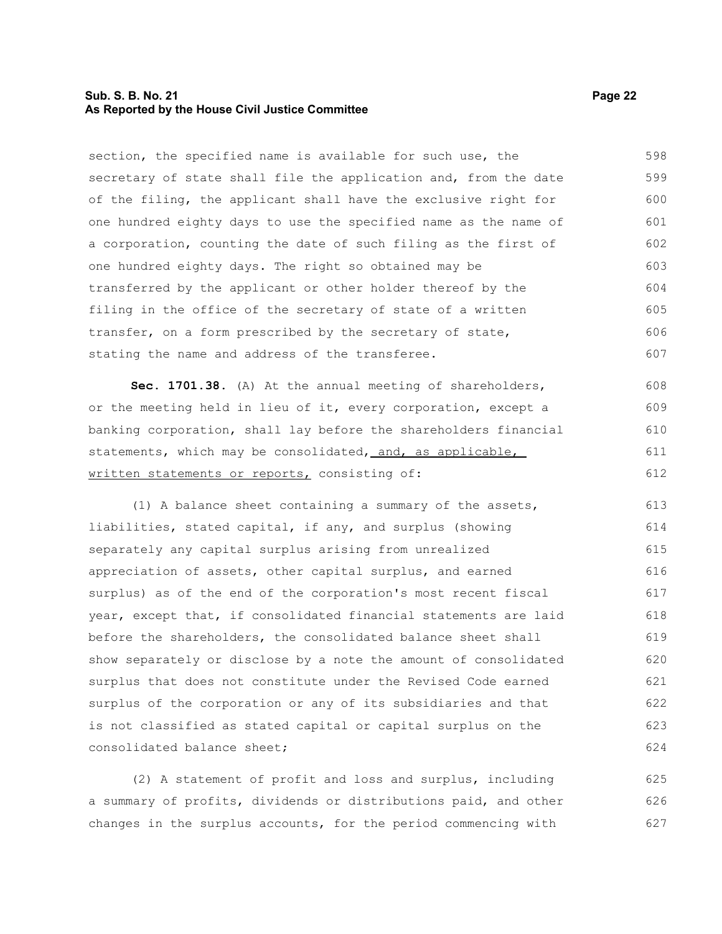#### **Sub. S. B. No. 21 Page 22 As Reported by the House Civil Justice Committee**

section, the specified name is available for such use, the secretary of state shall file the application and, from the date of the filing, the applicant shall have the exclusive right for one hundred eighty days to use the specified name as the name of a corporation, counting the date of such filing as the first of one hundred eighty days. The right so obtained may be transferred by the applicant or other holder thereof by the filing in the office of the secretary of state of a written transfer, on a form prescribed by the secretary of state, stating the name and address of the transferee. 598 599 600 601 602 603 604 605 606 607

**Sec. 1701.38.** (A) At the annual meeting of shareholders, or the meeting held in lieu of it, every corporation, except a banking corporation, shall lay before the shareholders financial statements, which may be consolidated, and, as applicable, written statements or reports, consisting of: 608 609 610 611 612

(1) A balance sheet containing a summary of the assets, liabilities, stated capital, if any, and surplus (showing separately any capital surplus arising from unrealized appreciation of assets, other capital surplus, and earned surplus) as of the end of the corporation's most recent fiscal year, except that, if consolidated financial statements are laid before the shareholders, the consolidated balance sheet shall show separately or disclose by a note the amount of consolidated surplus that does not constitute under the Revised Code earned surplus of the corporation or any of its subsidiaries and that is not classified as stated capital or capital surplus on the consolidated balance sheet; 613 614 615 616 617 618 619 620 621 622 623 624

(2) A statement of profit and loss and surplus, including a summary of profits, dividends or distributions paid, and other changes in the surplus accounts, for the period commencing with 625 626 627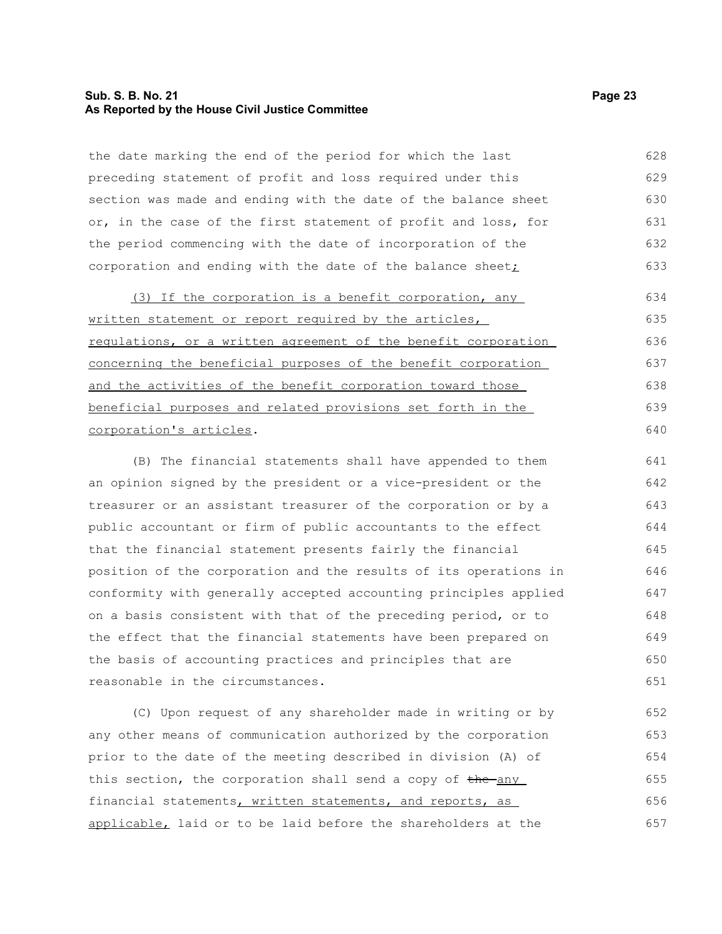#### **Sub. S. B. No. 21 Page 23 As Reported by the House Civil Justice Committee**

the date marking the end of the period for which the last preceding statement of profit and loss required under this section was made and ending with the date of the balance sheet or, in the case of the first statement of profit and loss, for the period commencing with the date of incorporation of the corporation and ending with the date of the balance sheet $\dot{I}$ 628 629 630 631 632 633

(3) If the corporation is a benefit corporation, any written statement or report required by the articles, regulations, or a written agreement of the benefit corporation concerning the beneficial purposes of the benefit corporation and the activities of the benefit corporation toward those beneficial purposes and related provisions set forth in the corporation's articles. 634 635 636 637 638 639 640

(B) The financial statements shall have appended to them an opinion signed by the president or a vice-president or the treasurer or an assistant treasurer of the corporation or by a public accountant or firm of public accountants to the effect that the financial statement presents fairly the financial position of the corporation and the results of its operations in conformity with generally accepted accounting principles applied on a basis consistent with that of the preceding period, or to the effect that the financial statements have been prepared on the basis of accounting practices and principles that are reasonable in the circumstances. 641 642 643 644 645 646 647 648 649 650 651

(C) Upon request of any shareholder made in writing or by any other means of communication authorized by the corporation prior to the date of the meeting described in division (A) of this section, the corporation shall send a copy of the any financial statements, written statements, and reports, as applicable, laid or to be laid before the shareholders at the 652 653 654 655 656 657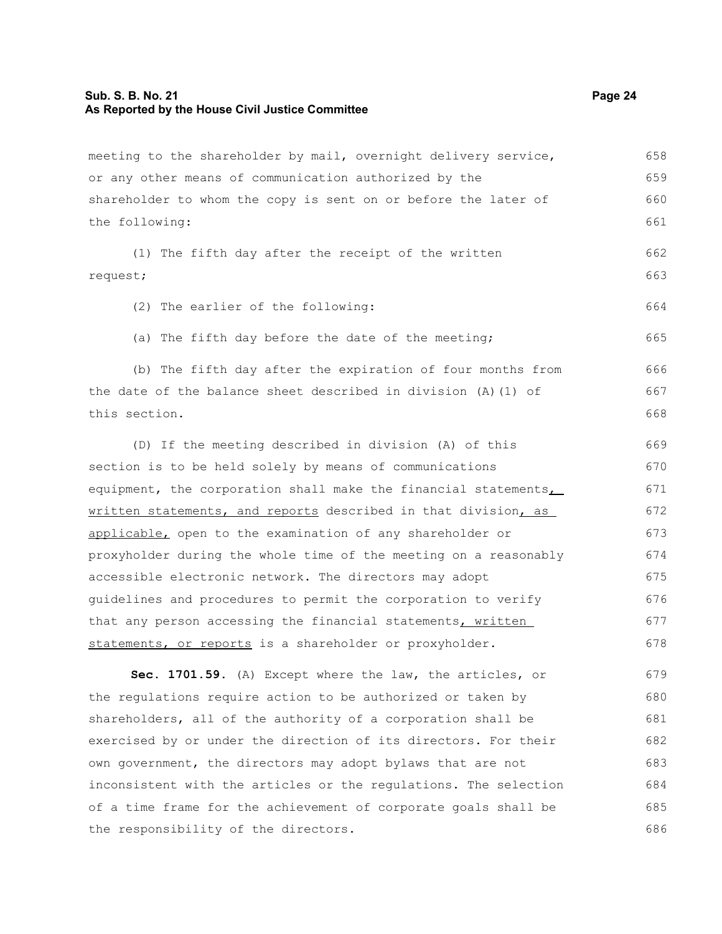#### **Sub. S. B. No. 21 Page 24 As Reported by the House Civil Justice Committee**

meeting to the shareholder by mail, overnight delivery service, or any other means of communication authorized by the shareholder to whom the copy is sent on or before the later of the following: (1) The fifth day after the receipt of the written request; (2) The earlier of the following: (a) The fifth day before the date of the meeting; (b) The fifth day after the expiration of four months from the date of the balance sheet described in division (A)(1) of this section. (D) If the meeting described in division (A) of this section is to be held solely by means of communications equipment, the corporation shall make the financial statements, written statements, and reports described in that division, as applicable, open to the examination of any shareholder or proxyholder during the whole time of the meeting on a reasonably accessible electronic network. The directors may adopt guidelines and procedures to permit the corporation to verify that any person accessing the financial statements, written statements, or reports is a shareholder or proxyholder. **Sec. 1701.59.** (A) Except where the law, the articles, or the regulations require action to be authorized or taken by shareholders, all of the authority of a corporation shall be exercised by or under the direction of its directors. For their own government, the directors may adopt bylaws that are not inconsistent with the articles or the regulations. The selection of a time frame for the achievement of corporate goals shall be the responsibility of the directors. 658 659 660 661 662 663 664 665 666 667 668 669 670 671 672 673 674 675 676 677 678 679 680 681 682 683 684 685 686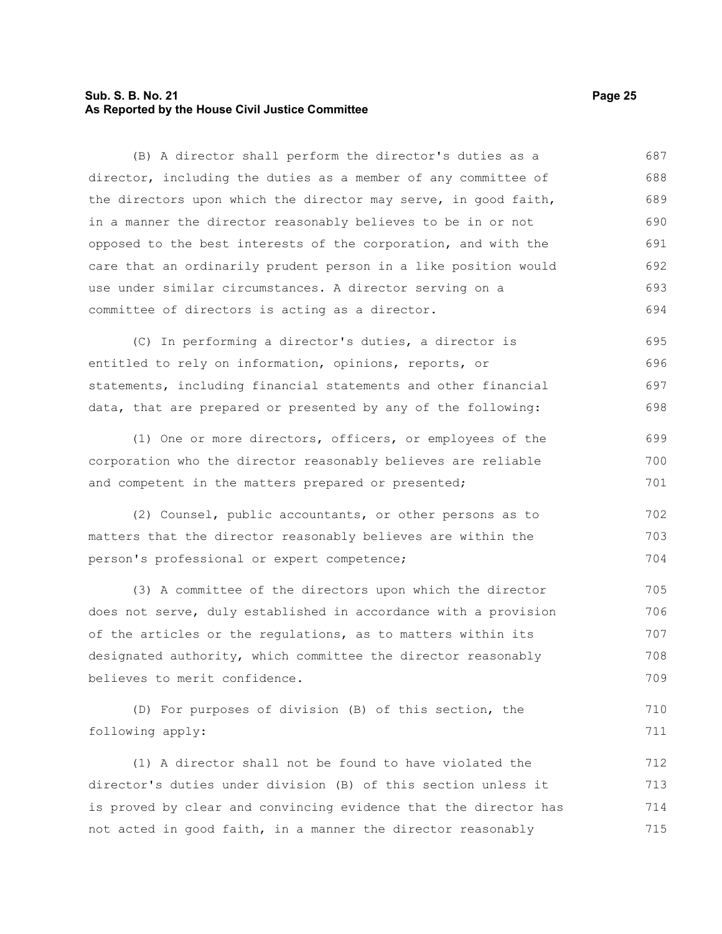#### **Sub. S. B. No. 21 Page 25 As Reported by the House Civil Justice Committee**

(B) A director shall perform the director's duties as a director, including the duties as a member of any committee of the directors upon which the director may serve, in good faith, in a manner the director reasonably believes to be in or not opposed to the best interests of the corporation, and with the care that an ordinarily prudent person in a like position would use under similar circumstances. A director serving on a committee of directors is acting as a director. 687 688 689 690 691 692 693 694

(C) In performing a director's duties, a director is entitled to rely on information, opinions, reports, or statements, including financial statements and other financial data, that are prepared or presented by any of the following: 695 696 697 698

(1) One or more directors, officers, or employees of the corporation who the director reasonably believes are reliable and competent in the matters prepared or presented; 699 700 701

(2) Counsel, public accountants, or other persons as to matters that the director reasonably believes are within the person's professional or expert competence; 702 703 704

(3) A committee of the directors upon which the director does not serve, duly established in accordance with a provision of the articles or the regulations, as to matters within its designated authority, which committee the director reasonably believes to merit confidence. 705 706 707 708 709

(D) For purposes of division (B) of this section, the following apply: 710 711

(1) A director shall not be found to have violated the director's duties under division (B) of this section unless it is proved by clear and convincing evidence that the director has not acted in good faith, in a manner the director reasonably 712 713 714 715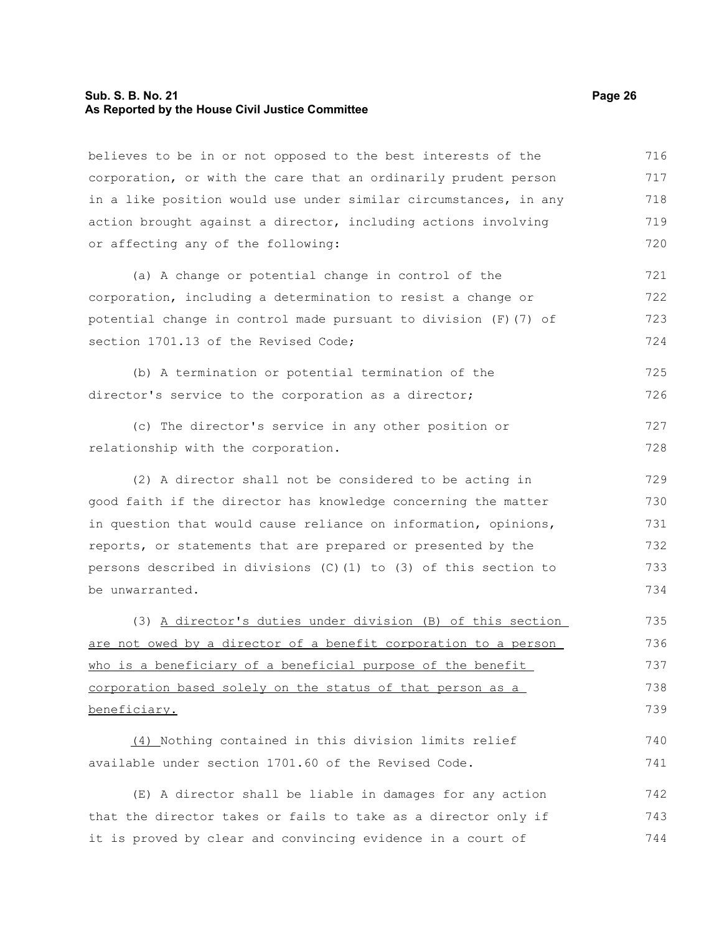#### **Sub. S. B. No. 21 Page 26 As Reported by the House Civil Justice Committee**

believes to be in or not opposed to the best interests of the corporation, or with the care that an ordinarily prudent person in a like position would use under similar circumstances, in any action brought against a director, including actions involving or affecting any of the following: (a) A change or potential change in control of the corporation, including a determination to resist a change or 716 717 718 719 720 721 722

potential change in control made pursuant to division (F)(7) of section 1701.13 of the Revised Code: 723 724

(b) A termination or potential termination of the director's service to the corporation as a director; 725 726

(c) The director's service in any other position or relationship with the corporation. 727 728

(2) A director shall not be considered to be acting in good faith if the director has knowledge concerning the matter in question that would cause reliance on information, opinions, reports, or statements that are prepared or presented by the persons described in divisions (C)(1) to (3) of this section to be unwarranted. 729 730 731 732 733 734

(3) A director's duties under division (B) of this section are not owed by a director of a benefit corporation to a person who is a beneficiary of a beneficial purpose of the benefit corporation based solely on the status of that person as a beneficiary. 735 736 737 738 739

(4) Nothing contained in this division limits relief available under section 1701.60 of the Revised Code. 740 741

(E) A director shall be liable in damages for any action that the director takes or fails to take as a director only if it is proved by clear and convincing evidence in a court of 742 743 744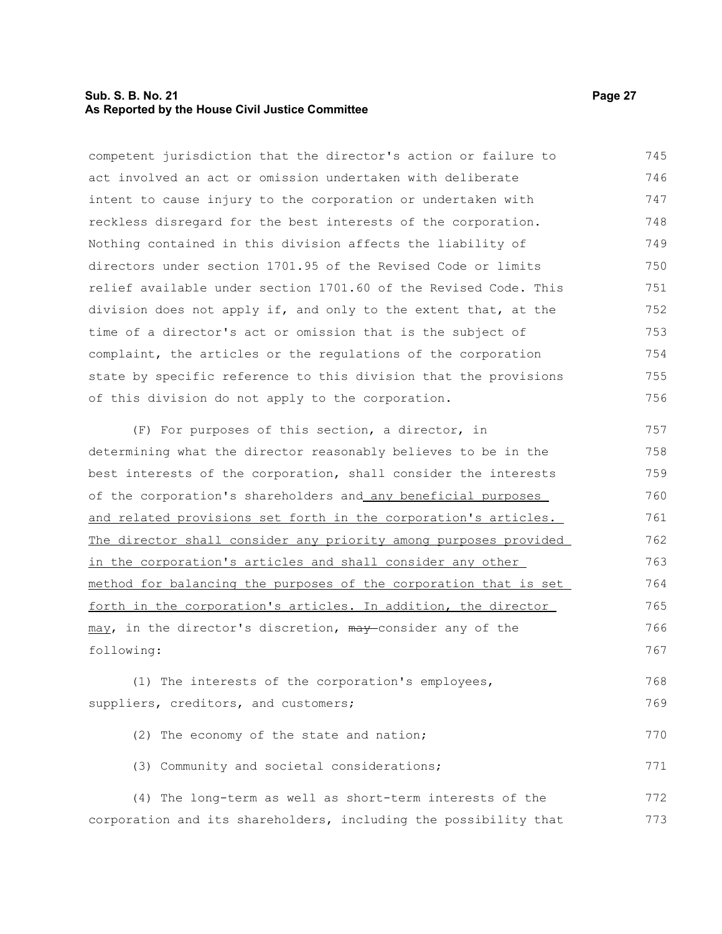#### **Sub. S. B. No. 21 Page 27 As Reported by the House Civil Justice Committee**

competent jurisdiction that the director's action or failure to act involved an act or omission undertaken with deliberate intent to cause injury to the corporation or undertaken with reckless disregard for the best interests of the corporation. Nothing contained in this division affects the liability of directors under section 1701.95 of the Revised Code or limits relief available under section 1701.60 of the Revised Code. This division does not apply if, and only to the extent that, at the time of a director's act or omission that is the subject of complaint, the articles or the regulations of the corporation state by specific reference to this division that the provisions of this division do not apply to the corporation. 745 746 747 748 749 750 751 752 753 754 755 756

(F) For purposes of this section, a director, in determining what the director reasonably believes to be in the best interests of the corporation, shall consider the interests of the corporation's shareholders and any beneficial purposes and related provisions set forth in the corporation's articles. The director shall consider any priority among purposes provided in the corporation's articles and shall consider any other method for balancing the purposes of the corporation that is set forth in the corporation's articles. In addition, the director may, in the director's discretion, may consider any of the following: 757 758 759 760 761 762 763 764 765 766 767

(1) The interests of the corporation's employees, suppliers, creditors, and customers; 768 769

| (2) The economy of the state and nation;   | 770 |
|--------------------------------------------|-----|
| (3) Community and societal considerations; | 771 |

(4) The long-term as well as short-term interests of the corporation and its shareholders, including the possibility that 772 773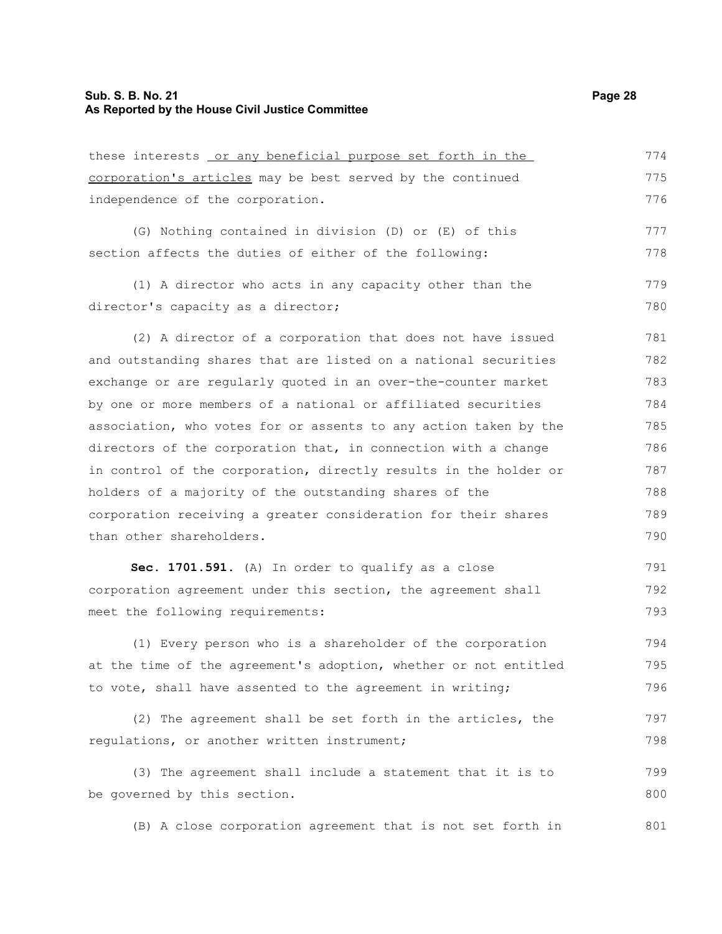| these interests or any beneficial purpose set forth in the       | 774 |
|------------------------------------------------------------------|-----|
| corporation's articles may be best served by the continued       | 775 |
| independence of the corporation.                                 | 776 |
| (G) Nothing contained in division (D) or (E) of this             | 777 |
| section affects the duties of either of the following:           | 778 |
| (1) A director who acts in any capacity other than the           | 779 |
| director's capacity as a director;                               | 780 |
| (2) A director of a corporation that does not have issued        | 781 |
| and outstanding shares that are listed on a national securities  | 782 |
| exchange or are regularly quoted in an over-the-counter market   | 783 |
| by one or more members of a national or affiliated securities    | 784 |
| association, who votes for or assents to any action taken by the | 785 |
| directors of the corporation that, in connection with a change   | 786 |
| in control of the corporation, directly results in the holder or | 787 |
| holders of a majority of the outstanding shares of the           | 788 |
| corporation receiving a greater consideration for their shares   | 789 |
| than other shareholders.                                         | 790 |
| Sec. 1701.591. (A) In order to qualify as a close                | 791 |

corporation agreement under this section, the agreement shall meet the following requirements: 792 793

(1) Every person who is a shareholder of the corporation at the time of the agreement's adoption, whether or not entitled to vote, shall have assented to the agreement in writing; 794 795 796

(2) The agreement shall be set forth in the articles, the regulations, or another written instrument; 797 798

(3) The agreement shall include a statement that it is to be governed by this section. 799 800

(B) A close corporation agreement that is not set forth in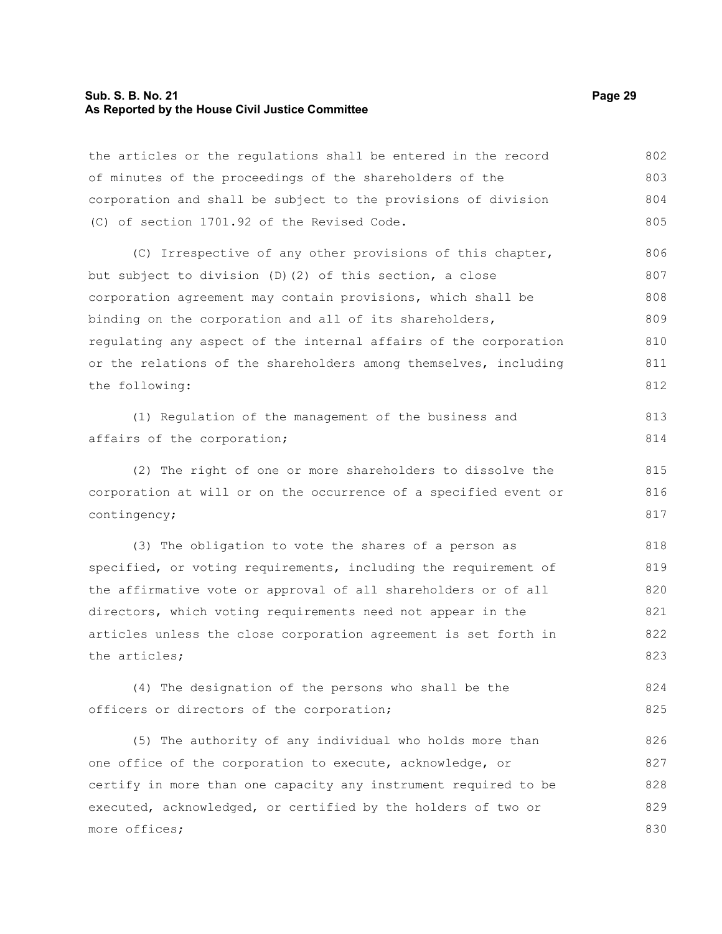## **Sub. S. B. No. 21 Page 29 As Reported by the House Civil Justice Committee**

| the articles or the regulations shall be entered in the record   | 802 |
|------------------------------------------------------------------|-----|
| of minutes of the proceedings of the shareholders of the         | 803 |
| corporation and shall be subject to the provisions of division   | 804 |
| (C) of section 1701.92 of the Revised Code.                      | 805 |
| (C) Irrespective of any other provisions of this chapter,        | 806 |
| but subject to division (D) (2) of this section, a close         | 807 |
| corporation agreement may contain provisions, which shall be     | 808 |
| binding on the corporation and all of its shareholders,          | 809 |
| regulating any aspect of the internal affairs of the corporation | 810 |
| or the relations of the shareholders among themselves, including | 811 |
| the following:                                                   | 812 |
| (1) Regulation of the management of the business and             | 813 |
| affairs of the corporation;                                      | 814 |
| (2) The right of one or more shareholders to dissolve the        | 815 |
| corporation at will or on the occurrence of a specified event or | 816 |
| contingency;                                                     | 817 |
| (3) The obligation to vote the shares of a person as             | 818 |
| specified, or voting requirements, including the requirement of  | 819 |
| the affirmative vote or approval of all shareholders or of all   | 820 |
| directors, which voting requirements need not appear in the      | 821 |
| articles unless the close corporation agreement is set forth in  | 822 |
| the articles;                                                    | 823 |
| (4) The designation of the persons who shall be the              | 824 |
| officers or directors of the corporation;                        | 825 |
| (5) The authority of any individual who holds more than          | 826 |
| one office of the corporation to execute, acknowledge, or        | 827 |

certify in more than one capacity any instrument required to be executed, acknowledged, or certified by the holders of two or more offices; 828 829 830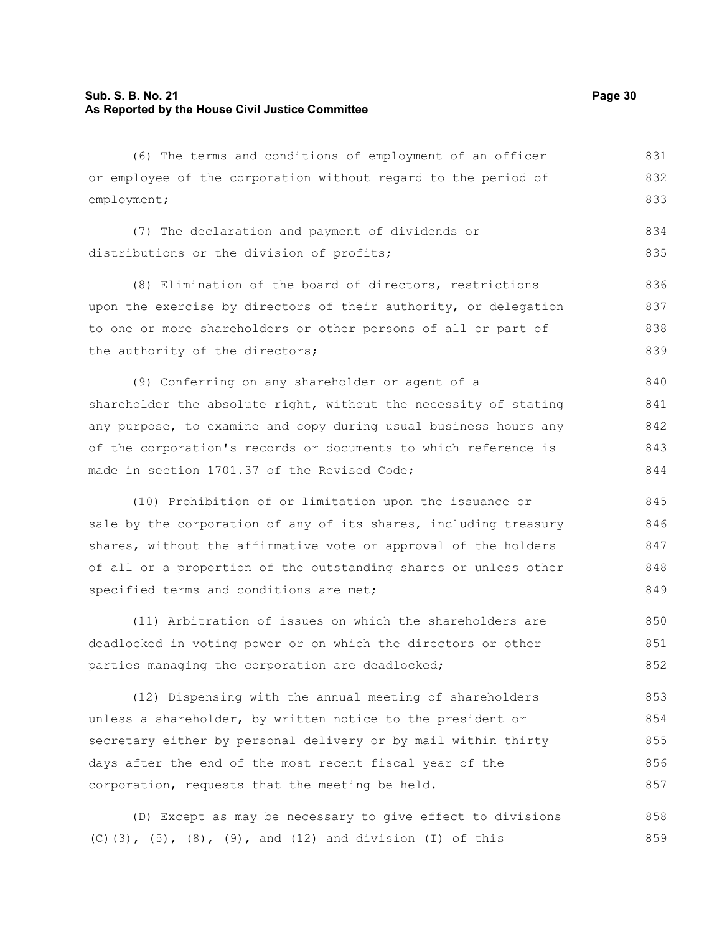#### **Sub. S. B. No. 21 Page 30 As Reported by the House Civil Justice Committee**

(6) The terms and conditions of employment of an officer or employee of the corporation without regard to the period of employment; (7) The declaration and payment of dividends or distributions or the division of profits; (8) Elimination of the board of directors, restrictions upon the exercise by directors of their authority, or delegation to one or more shareholders or other persons of all or part of the authority of the directors; (9) Conferring on any shareholder or agent of a shareholder the absolute right, without the necessity of stating any purpose, to examine and copy during usual business hours any of the corporation's records or documents to which reference is made in section 1701.37 of the Revised Code; (10) Prohibition of or limitation upon the issuance or sale by the corporation of any of its shares, including treasury shares, without the affirmative vote or approval of the holders of all or a proportion of the outstanding shares or unless other specified terms and conditions are met; 831 832 833 834 835 836 837 838 839 840 841 842 843 844 845 846 847 848 849

(11) Arbitration of issues on which the shareholders are deadlocked in voting power or on which the directors or other parties managing the corporation are deadlocked; 850 851 852

(12) Dispensing with the annual meeting of shareholders unless a shareholder, by written notice to the president or secretary either by personal delivery or by mail within thirty days after the end of the most recent fiscal year of the corporation, requests that the meeting be held. 853 854 855 856 857

(D) Except as may be necessary to give effect to divisions (C)(3), (5), (8), (9), and (12) and division (I) of this 858 859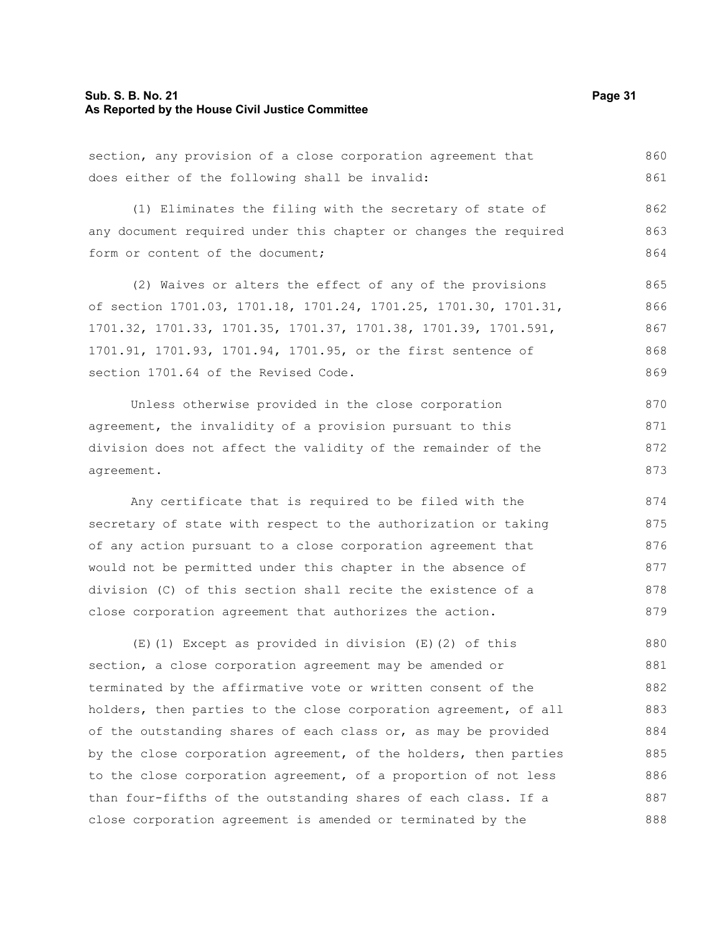#### **Sub. S. B. No. 21 Page 31 As Reported by the House Civil Justice Committee**

section, any provision of a close corporation agreement that does either of the following shall be invalid: (1) Eliminates the filing with the secretary of state of any document required under this chapter or changes the required form or content of the document; (2) Waives or alters the effect of any of the provisions of section 1701.03, 1701.18, 1701.24, 1701.25, 1701.30, 1701.31, 1701.32, 1701.33, 1701.35, 1701.37, 1701.38, 1701.39, 1701.591, 1701.91, 1701.93, 1701.94, 1701.95, or the first sentence of section 1701.64 of the Revised Code. Unless otherwise provided in the close corporation agreement, the invalidity of a provision pursuant to this division does not affect the validity of the remainder of the agreement. Any certificate that is required to be filed with the secretary of state with respect to the authorization or taking of any action pursuant to a close corporation agreement that would not be permitted under this chapter in the absence of division (C) of this section shall recite the existence of a close corporation agreement that authorizes the action. (E)(1) Except as provided in division (E)(2) of this section, a close corporation agreement may be amended or terminated by the affirmative vote or written consent of the holders, then parties to the close corporation agreement, of all 860 861 862 863 864 865 866 867 868 869 870 871 872 873 874 875 876 877 878 879 880 881 882 883

of the outstanding shares of each class or, as may be provided by the close corporation agreement, of the holders, then parties to the close corporation agreement, of a proportion of not less than four-fifths of the outstanding shares of each class. If a close corporation agreement is amended or terminated by the 884 885 886 887 888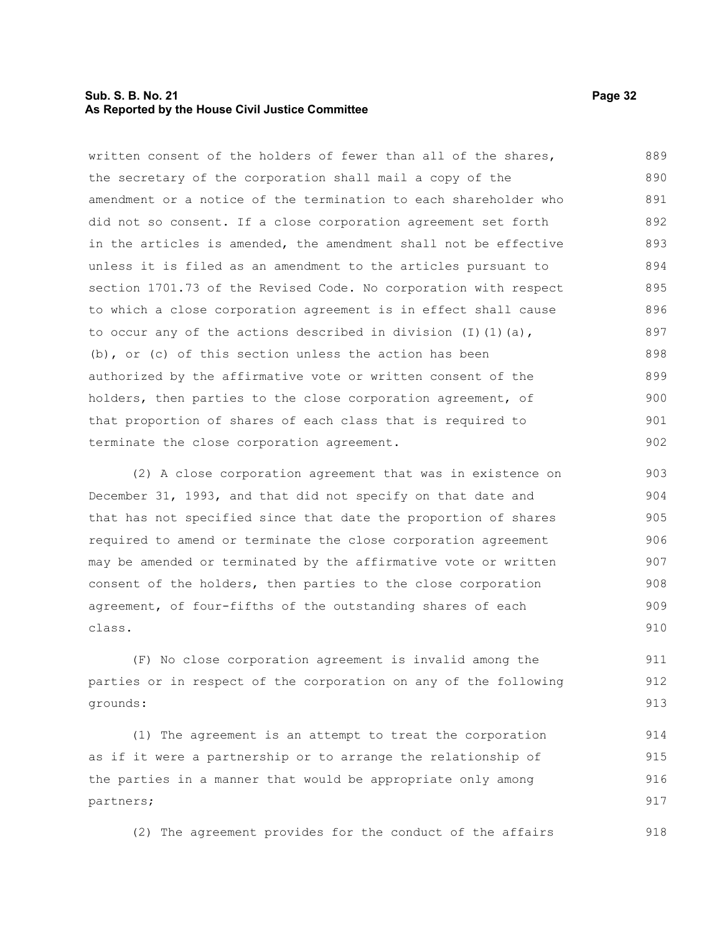#### **Sub. S. B. No. 21 Page 32 As Reported by the House Civil Justice Committee**

written consent of the holders of fewer than all of the shares, the secretary of the corporation shall mail a copy of the amendment or a notice of the termination to each shareholder who did not so consent. If a close corporation agreement set forth in the articles is amended, the amendment shall not be effective unless it is filed as an amendment to the articles pursuant to section 1701.73 of the Revised Code. No corporation with respect to which a close corporation agreement is in effect shall cause to occur any of the actions described in division  $(I)$   $(I)$   $(a)$ , (b), or (c) of this section unless the action has been authorized by the affirmative vote or written consent of the holders, then parties to the close corporation agreement, of that proportion of shares of each class that is required to terminate the close corporation agreement. 889 890 891 892 893 894 895 896 897 898 899 900 901 902

(2) A close corporation agreement that was in existence on December 31, 1993, and that did not specify on that date and that has not specified since that date the proportion of shares required to amend or terminate the close corporation agreement may be amended or terminated by the affirmative vote or written consent of the holders, then parties to the close corporation agreement, of four-fifths of the outstanding shares of each class. 903 904 905 906 907 908 909 910

(F) No close corporation agreement is invalid among the parties or in respect of the corporation on any of the following grounds: 911 912 913

(1) The agreement is an attempt to treat the corporation as if it were a partnership or to arrange the relationship of the parties in a manner that would be appropriate only among partners; 914 915 916 917

(2) The agreement provides for the conduct of the affairs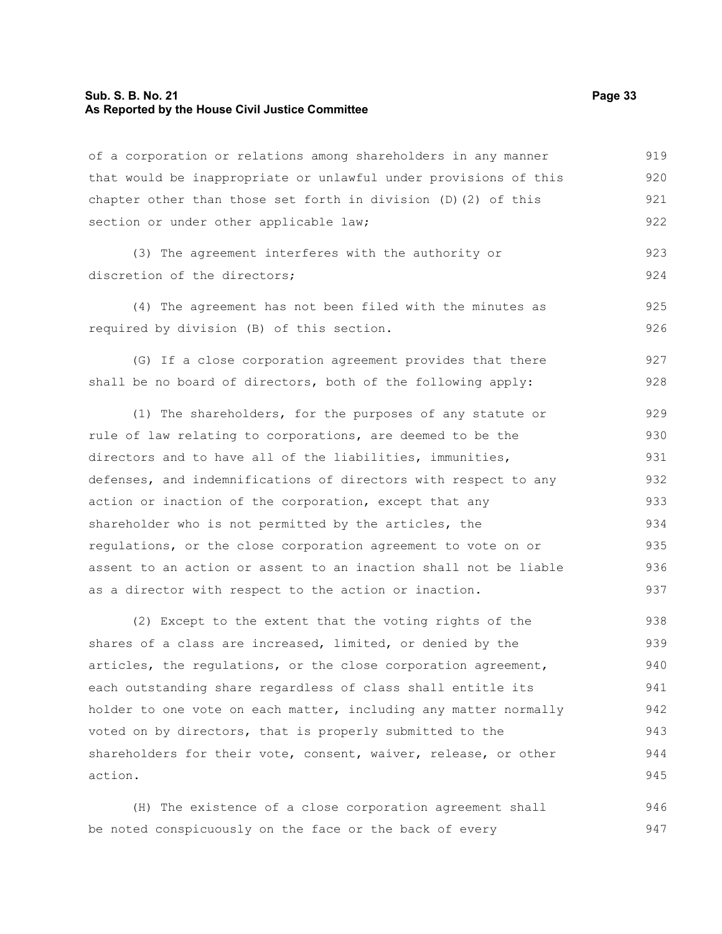#### **Sub. S. B. No. 21 Page 33 As Reported by the House Civil Justice Committee**

of a corporation or relations among shareholders in any manner that would be inappropriate or unlawful under provisions of this chapter other than those set forth in division (D)(2) of this section or under other applicable law; 919 920 921 922

(3) The agreement interferes with the authority or discretion of the directors: 923 924

(4) The agreement has not been filed with the minutes as required by division (B) of this section.

(G) If a close corporation agreement provides that there shall be no board of directors, both of the following apply: 927 928

(1) The shareholders, for the purposes of any statute or rule of law relating to corporations, are deemed to be the directors and to have all of the liabilities, immunities, defenses, and indemnifications of directors with respect to any action or inaction of the corporation, except that any shareholder who is not permitted by the articles, the regulations, or the close corporation agreement to vote on or assent to an action or assent to an inaction shall not be liable as a director with respect to the action or inaction. 929 930 931 932 933 934 935 936 937

(2) Except to the extent that the voting rights of the shares of a class are increased, limited, or denied by the articles, the regulations, or the close corporation agreement, each outstanding share regardless of class shall entitle its holder to one vote on each matter, including any matter normally voted on by directors, that is properly submitted to the shareholders for their vote, consent, waiver, release, or other action. 938 939 940 941 942 943 944 945

(H) The existence of a close corporation agreement shall be noted conspicuously on the face or the back of every 946 947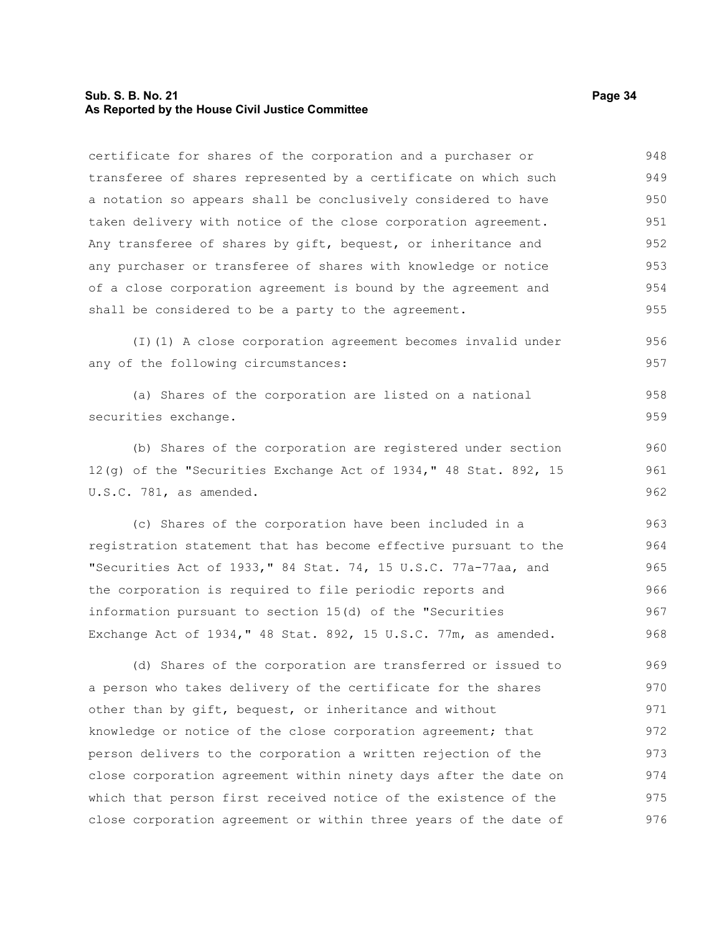#### **Sub. S. B. No. 21 Page 34 As Reported by the House Civil Justice Committee**

certificate for shares of the corporation and a purchaser or transferee of shares represented by a certificate on which such a notation so appears shall be conclusively considered to have taken delivery with notice of the close corporation agreement. Any transferee of shares by gift, bequest, or inheritance and any purchaser or transferee of shares with knowledge or notice of a close corporation agreement is bound by the agreement and shall be considered to be a party to the agreement. (I)(1) A close corporation agreement becomes invalid under any of the following circumstances: (a) Shares of the corporation are listed on a national securities exchange. (b) Shares of the corporation are registered under section 12(g) of the "Securities Exchange Act of 1934," 48 Stat. 892, 15 U.S.C. 781, as amended. (c) Shares of the corporation have been included in a registration statement that has become effective pursuant to the "Securities Act of 1933," 84 Stat. 74, 15 U.S.C. 77a-77aa, and the corporation is required to file periodic reports and information pursuant to section 15(d) of the "Securities Exchange Act of 1934," 48 Stat. 892, 15 U.S.C. 77m, as amended. (d) Shares of the corporation are transferred or issued to a person who takes delivery of the certificate for the shares other than by gift, bequest, or inheritance and without knowledge or notice of the close corporation agreement; that person delivers to the corporation a written rejection of the close corporation agreement within ninety days after the date on 948 949 950 951 952 953 954 955 956 957 958 959 960 961 962 963 964 965 966 967 968 969 970 971 972 973 974

which that person first received notice of the existence of the close corporation agreement or within three years of the date of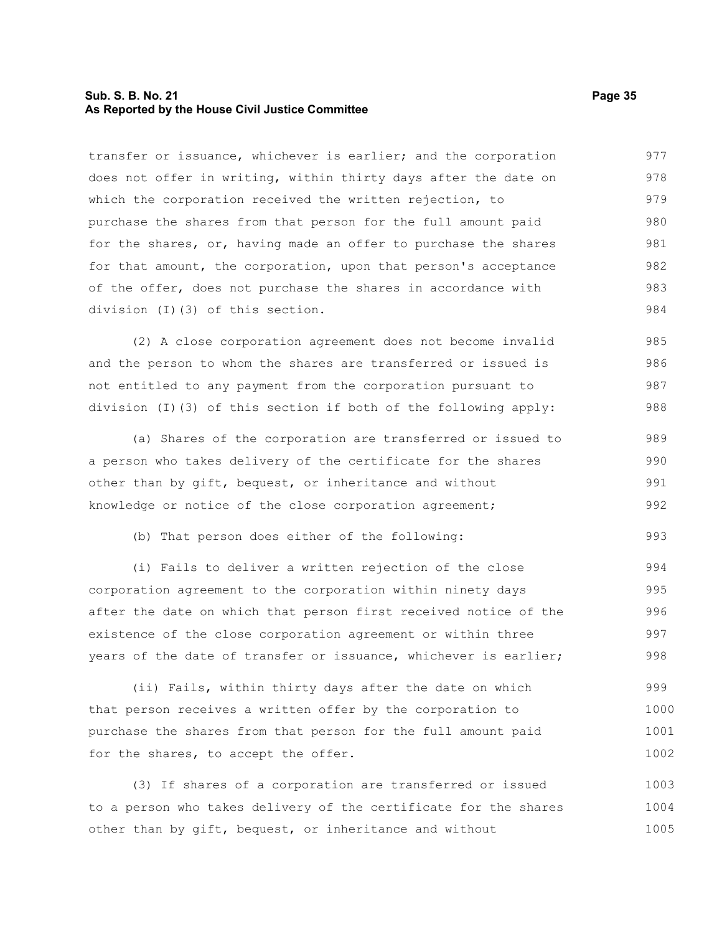#### **Sub. S. B. No. 21 Page 35 As Reported by the House Civil Justice Committee**

transfer or issuance, whichever is earlier; and the corporation does not offer in writing, within thirty days after the date on which the corporation received the written rejection, to purchase the shares from that person for the full amount paid for the shares, or, having made an offer to purchase the shares for that amount, the corporation, upon that person's acceptance of the offer, does not purchase the shares in accordance with division (I)(3) of this section. 977 978 979 980 981 982 983 984

(2) A close corporation agreement does not become invalid and the person to whom the shares are transferred or issued is not entitled to any payment from the corporation pursuant to division (I)(3) of this section if both of the following apply: 985 986 987 988

(a) Shares of the corporation are transferred or issued to a person who takes delivery of the certificate for the shares other than by gift, bequest, or inheritance and without knowledge or notice of the close corporation agreement; 989 990 991 992

(b) That person does either of the following:

(i) Fails to deliver a written rejection of the close corporation agreement to the corporation within ninety days after the date on which that person first received notice of the existence of the close corporation agreement or within three years of the date of transfer or issuance, whichever is earlier; 994 995 996 997 998

(ii) Fails, within thirty days after the date on which that person receives a written offer by the corporation to purchase the shares from that person for the full amount paid for the shares, to accept the offer. 999 1000 1001 1002

(3) If shares of a corporation are transferred or issued to a person who takes delivery of the certificate for the shares other than by gift, bequest, or inheritance and without 1003 1004 1005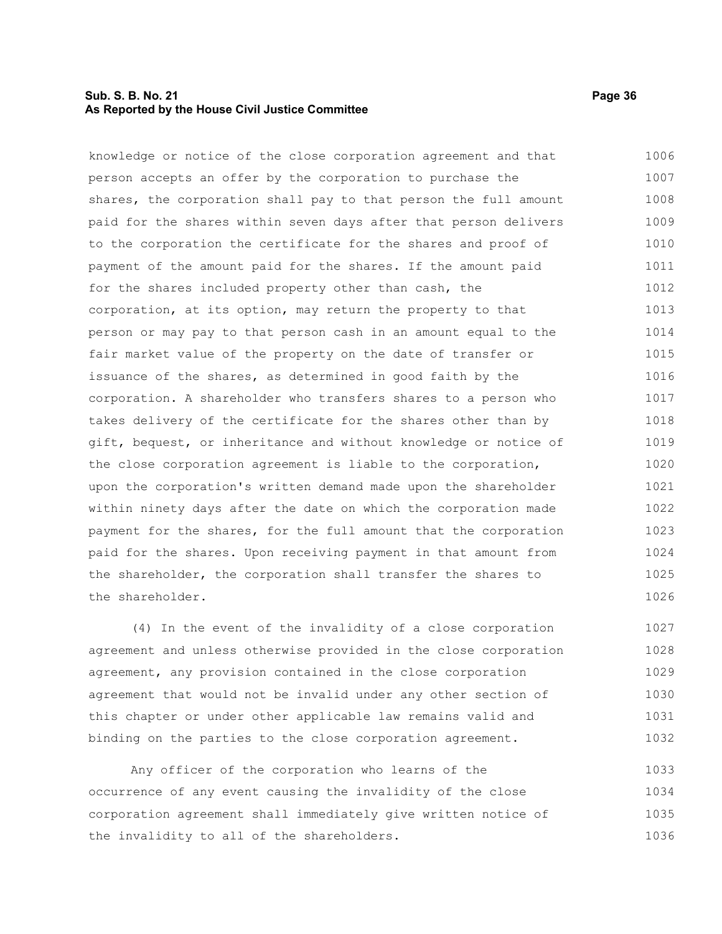#### **Sub. S. B. No. 21 Page 36 As Reported by the House Civil Justice Committee**

knowledge or notice of the close corporation agreement and that person accepts an offer by the corporation to purchase the shares, the corporation shall pay to that person the full amount paid for the shares within seven days after that person delivers to the corporation the certificate for the shares and proof of payment of the amount paid for the shares. If the amount paid for the shares included property other than cash, the corporation, at its option, may return the property to that person or may pay to that person cash in an amount equal to the fair market value of the property on the date of transfer or issuance of the shares, as determined in good faith by the corporation. A shareholder who transfers shares to a person who takes delivery of the certificate for the shares other than by gift, bequest, or inheritance and without knowledge or notice of the close corporation agreement is liable to the corporation, upon the corporation's written demand made upon the shareholder within ninety days after the date on which the corporation made payment for the shares, for the full amount that the corporation paid for the shares. Upon receiving payment in that amount from the shareholder, the corporation shall transfer the shares to the shareholder. 1006 1007 1008 1009 1010 1011 1012 1013 1014 1015 1016 1017 1018 1019 1020 1021 1022 1023 1024 1025 1026

(4) In the event of the invalidity of a close corporation agreement and unless otherwise provided in the close corporation agreement, any provision contained in the close corporation agreement that would not be invalid under any other section of this chapter or under other applicable law remains valid and binding on the parties to the close corporation agreement. 1027 1028 1029 1030 1031 1032

Any officer of the corporation who learns of the occurrence of any event causing the invalidity of the close corporation agreement shall immediately give written notice of the invalidity to all of the shareholders. 1033 1034 1035 1036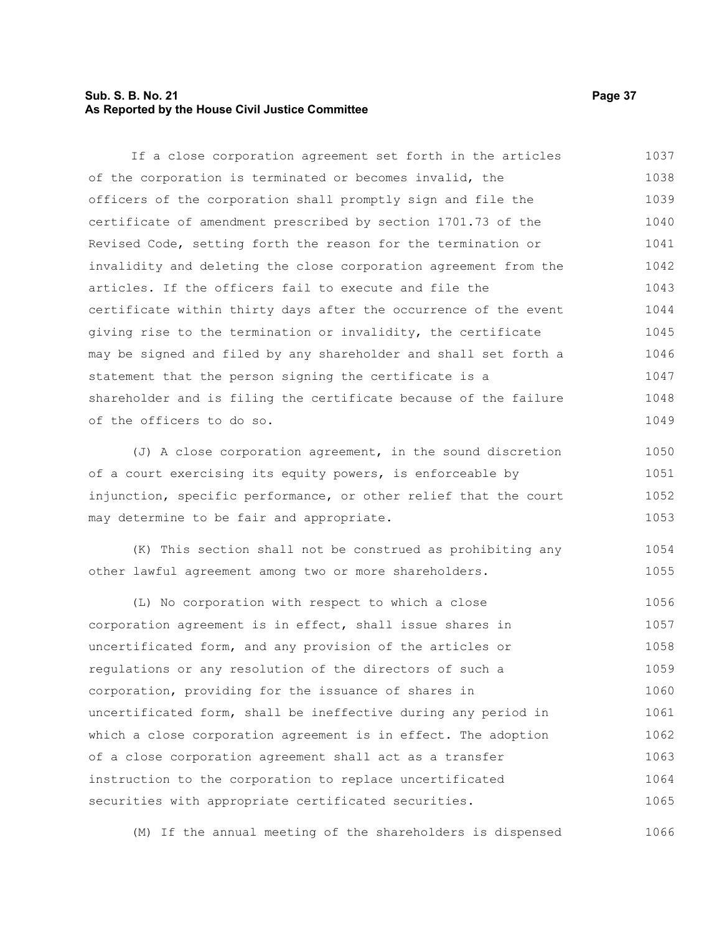#### **Sub. S. B. No. 21 Page 37 As Reported by the House Civil Justice Committee**

If a close corporation agreement set forth in the articles of the corporation is terminated or becomes invalid, the officers of the corporation shall promptly sign and file the certificate of amendment prescribed by section 1701.73 of the Revised Code, setting forth the reason for the termination or invalidity and deleting the close corporation agreement from the articles. If the officers fail to execute and file the certificate within thirty days after the occurrence of the event giving rise to the termination or invalidity, the certificate may be signed and filed by any shareholder and shall set forth a statement that the person signing the certificate is a shareholder and is filing the certificate because of the failure of the officers to do so. 1037 1038 1039 1040 1041 1042 1043 1044 1045 1046 1047 1048 1049

(J) A close corporation agreement, in the sound discretion of a court exercising its equity powers, is enforceable by injunction, specific performance, or other relief that the court may determine to be fair and appropriate. 1050 1051 1052 1053

(K) This section shall not be construed as prohibiting any other lawful agreement among two or more shareholders. 1054 1055

(L) No corporation with respect to which a close corporation agreement is in effect, shall issue shares in uncertificated form, and any provision of the articles or regulations or any resolution of the directors of such a corporation, providing for the issuance of shares in uncertificated form, shall be ineffective during any period in which a close corporation agreement is in effect. The adoption of a close corporation agreement shall act as a transfer instruction to the corporation to replace uncertificated securities with appropriate certificated securities. 1056 1057 1058 1059 1060 1061 1062 1063 1064 1065

(M) If the annual meeting of the shareholders is dispensed 1066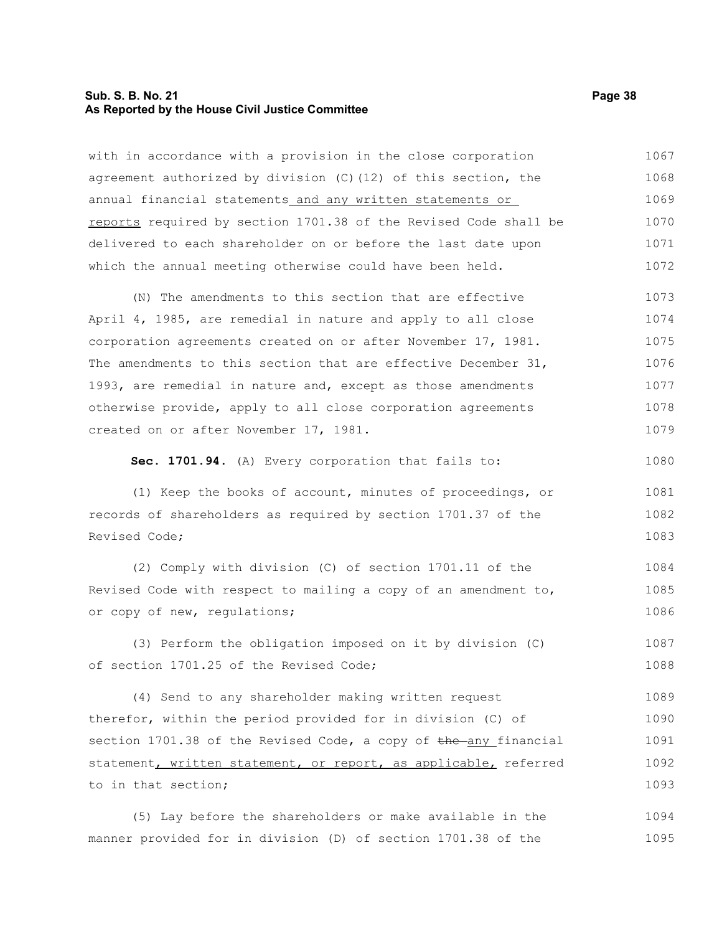#### **Sub. S. B. No. 21 Page 38 As Reported by the House Civil Justice Committee**

with in accordance with a provision in the close corporation agreement authorized by division (C)(12) of this section, the annual financial statements and any written statements or reports required by section 1701.38 of the Revised Code shall be delivered to each shareholder on or before the last date upon which the annual meeting otherwise could have been held. 1067 1068 1069 1070 1071 1072

(N) The amendments to this section that are effective April 4, 1985, are remedial in nature and apply to all close corporation agreements created on or after November 17, 1981. The amendments to this section that are effective December 31, 1993, are remedial in nature and, except as those amendments otherwise provide, apply to all close corporation agreements created on or after November 17, 1981. 1073 1074 1075 1076 1077 1078 1079

**Sec. 1701.94.** (A) Every corporation that fails to:

(1) Keep the books of account, minutes of proceedings, or records of shareholders as required by section 1701.37 of the Revised Code; 1081 1082 1083

(2) Comply with division (C) of section 1701.11 of the Revised Code with respect to mailing a copy of an amendment to, or copy of new, regulations; 1084 1085 1086

(3) Perform the obligation imposed on it by division (C) of section 1701.25 of the Revised Code; 1087 1088

(4) Send to any shareholder making written request therefor, within the period provided for in division (C) of section  $1701.38$  of the Revised Code, a copy of the any financial statement, written statement, or report, as applicable, referred to in that section; 1089 1090 1091 1092 1093

(5) Lay before the shareholders or make available in the manner provided for in division (D) of section 1701.38 of the 1094 1095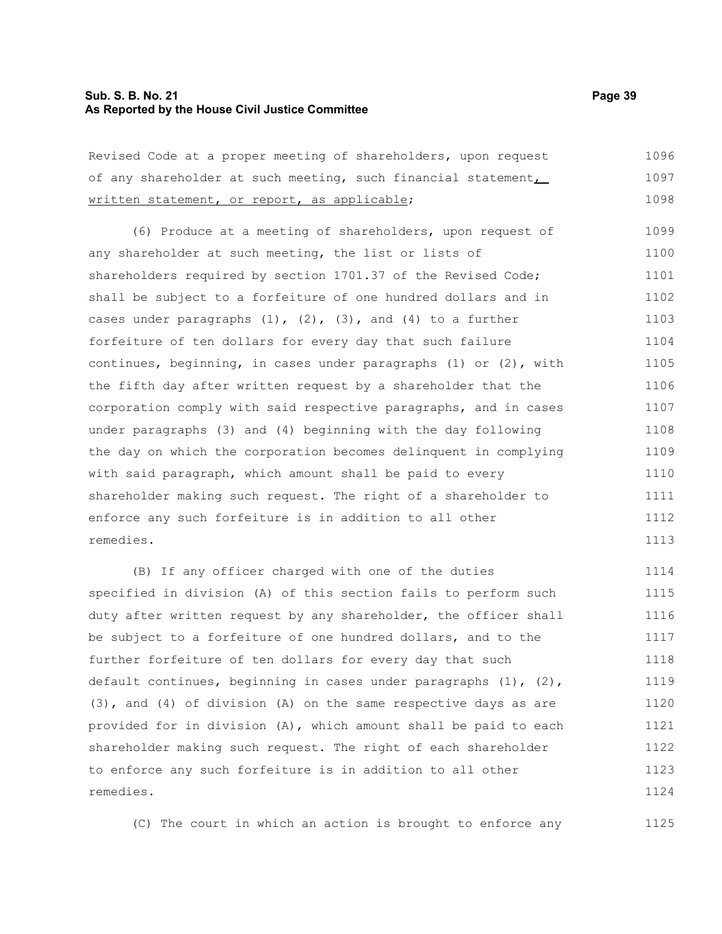#### **Sub. S. B. No. 21 Page 39 As Reported by the House Civil Justice Committee**

Revised Code at a proper meeting of shareholders, upon request of any shareholder at such meeting, such financial statement, written statement, or report, as applicable; 1096 1097 1098

(6) Produce at a meeting of shareholders, upon request of any shareholder at such meeting, the list or lists of shareholders required by section 1701.37 of the Revised Code; shall be subject to a forfeiture of one hundred dollars and in cases under paragraphs  $(1)$ ,  $(2)$ ,  $(3)$ , and  $(4)$  to a further forfeiture of ten dollars for every day that such failure continues, beginning, in cases under paragraphs (1) or (2), with the fifth day after written request by a shareholder that the corporation comply with said respective paragraphs, and in cases under paragraphs (3) and (4) beginning with the day following the day on which the corporation becomes delinquent in complying with said paragraph, which amount shall be paid to every shareholder making such request. The right of a shareholder to enforce any such forfeiture is in addition to all other remedies. 1099 1100 1101 1102 1103 1104 1105 1106 1107 1108 1109 1110 1111 1112 1113

(B) If any officer charged with one of the duties specified in division (A) of this section fails to perform such duty after written request by any shareholder, the officer shall be subject to a forfeiture of one hundred dollars, and to the further forfeiture of ten dollars for every day that such default continues, beginning in cases under paragraphs  $(1)$ ,  $(2)$ , (3), and (4) of division (A) on the same respective days as are provided for in division (A), which amount shall be paid to each shareholder making such request. The right of each shareholder to enforce any such forfeiture is in addition to all other remedies. 1114 1115 1116 1117 1118 1119 1120 1121 1122 1123 1124

(C) The court in which an action is brought to enforce any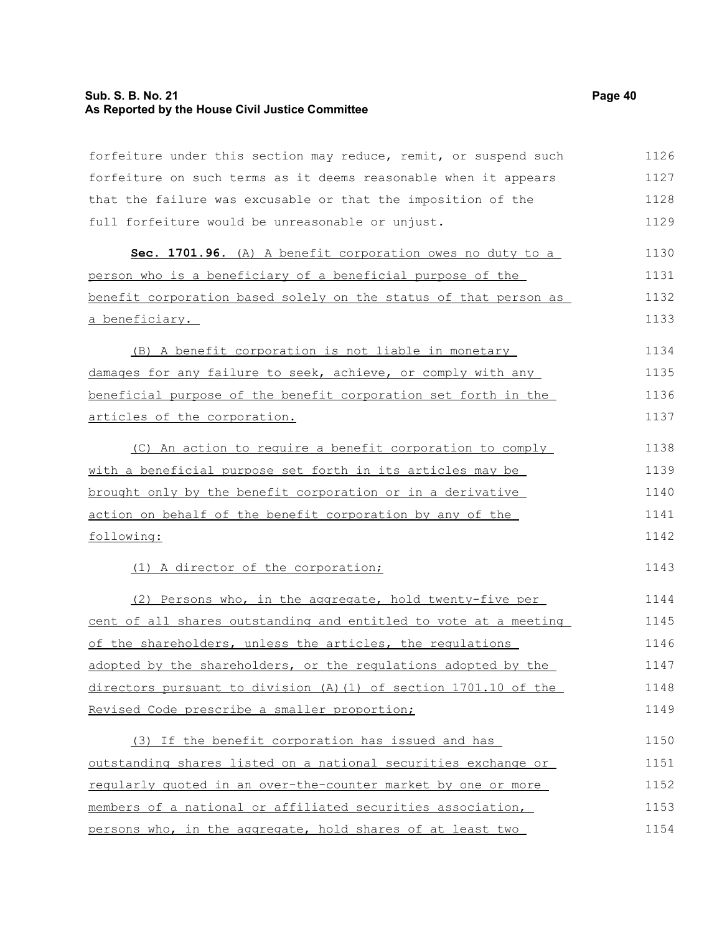## **Sub. S. B. No. 21 Page 40 As Reported by the House Civil Justice Committee**

| forfeiture under this section may reduce, remit, or suspend such | 1126 |
|------------------------------------------------------------------|------|
| forfeiture on such terms as it deems reasonable when it appears  | 1127 |
| that the failure was excusable or that the imposition of the     | 1128 |
| full forfeiture would be unreasonable or unjust.                 | 1129 |
| Sec. 1701.96. (A) A benefit corporation owes no duty to a        | 1130 |
| person who is a beneficiary of a beneficial purpose of the       | 1131 |
| benefit corporation based solely on the status of that person as | 1132 |
| a beneficiary.                                                   | 1133 |
| (B) A benefit corporation is not liable in monetary              | 1134 |
| damages for any failure to seek, achieve, or comply with any     | 1135 |
| beneficial purpose of the benefit corporation set forth in the   | 1136 |
| articles of the corporation.                                     | 1137 |
| (C) An action to require a benefit corporation to comply         | 1138 |
| with a beneficial purpose set forth in its articles may be       | 1139 |
| brought only by the benefit corporation or in a derivative       | 1140 |
| action on behalf of the benefit corporation by any of the        | 1141 |
| following:                                                       | 1142 |
| (1) A director of the corporation;                               | 1143 |
| (2) Persons who, in the aggregate, hold twenty-five per          | 1144 |
| cent of all shares outstanding and entitled to vote at a meeting | 1145 |
| of the shareholders, unless the articles, the requlations        | 1146 |
| adopted by the shareholders, or the regulations adopted by the   | 1147 |
| directors pursuant to division (A) (1) of section 1701.10 of the | 1148 |
| Revised Code prescribe a smaller proportion;                     | 1149 |
| (3) If the benefit corporation has issued and has                | 1150 |
| outstanding shares listed on a national securities exchange or   | 1151 |
| regularly quoted in an over-the-counter market by one or more    | 1152 |
| members of a national or affiliated securities association,      | 1153 |
| persons who, in the aggregate, hold shares of at least two       | 1154 |